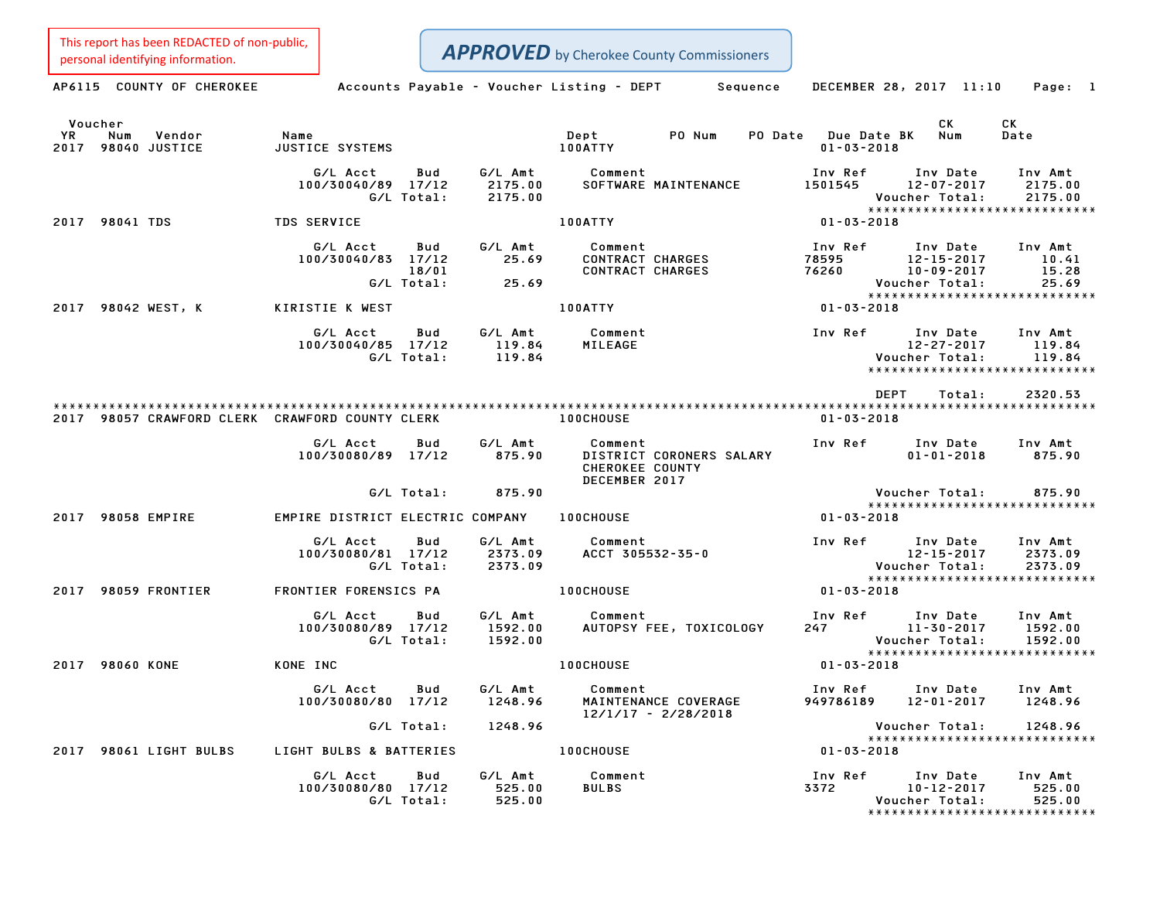This report has been REDACTED of non-public, This report has been REDACTED of non-public,<br> **APPROVED** by Cherokee County Commissioners

| personal identifying information.                        |                                              |                                           | $\mathbf{r}$ $\mathbf{r}$ $\mathbf{r}$ $\mathbf{r}$ $\mathbf{r}$ $\mathbf{r}$ $\mathbf{r}$ $\mathbf{r}$ $\mathbf{r}$ $\mathbf{r}$ and $\mathbf{r}$ $\mathbf{r}$ $\mathbf{r}$ $\mathbf{r}$ $\mathbf{r}$ $\mathbf{r}$ $\mathbf{r}$ $\mathbf{r}$ $\mathbf{r}$ $\mathbf{r}$ $\mathbf{r}$ $\mathbf{r}$ $\mathbf{r}$ $\mathbf{r}$ |                                         |                                                                                                                  |
|----------------------------------------------------------|----------------------------------------------|-------------------------------------------|-----------------------------------------------------------------------------------------------------------------------------------------------------------------------------------------------------------------------------------------------------------------------------------------------------------------------------|-----------------------------------------|------------------------------------------------------------------------------------------------------------------|
| AP6115 COUNTY OF CHEROKEE                                |                                              |                                           | Accounts Payable - Voucher Listing - DEPT Sequence                                                                                                                                                                                                                                                                          | DECEMBER 28, 2017 11:10                 | Page: 1                                                                                                          |
| Voucher<br>YR.<br>Num<br>Vendor<br>2017<br>98040 JUSTICE | Name<br>JUSTICE SYSTEMS                      |                                           | PO Num<br>Dept<br>100ATTY                                                                                                                                                                                                                                                                                                   | PO Date Due Date BK<br>$01 - 03 - 2018$ | СK<br>CK<br>Num<br>Date                                                                                          |
|                                                          | G/L Acct<br>100/30040/89 17/12<br>G/L Total: | G/L Amt<br>Bud<br>2175.00<br>2175.00      | Comment<br>SOFTWARE MAINTENANCE                                                                                                                                                                                                                                                                                             | Inv Ref<br>1501545                      | Inv Date<br>Inv Amt<br>$12 - 07 - 2017$<br>2175.00<br>Voucher Total:<br>2175.00<br>***************************** |
| 2017 98041 TDS                                           | <b>TDS SERVICE</b>                           |                                           | 100ATTY                                                                                                                                                                                                                                                                                                                     | 01-03-2018                              |                                                                                                                  |
|                                                          | G/L Acct<br>100/30040/83 17/12<br>G/L Total: | G/L Amt<br>Bud<br>25.69<br>18/01<br>25.69 | Comment<br>CONTRACT CHARGES<br>CONTRACT CHARGES                                                                                                                                                                                                                                                                             | Inv Ref<br>78595<br>76260               | Inv Date<br>Inv Amt<br>$12 - 15 - 2017$<br>10.41<br>$10 - 09 - 2017$<br>15.28<br>25.69<br>Voucher Total:         |
| 2017 98042 WEST, K                                       | KIRISTIE K WEST                              |                                           | 100ATTY                                                                                                                                                                                                                                                                                                                     | 01-03-2018                              | ******************************                                                                                   |
|                                                          | G/L Acct<br>100/30040/85 17/12<br>G/L Total: | G/L Amt<br>Bud<br>119.84<br>119.84        | Comment<br><b>MILEAGE</b>                                                                                                                                                                                                                                                                                                   | Inv Ref                                 | Inv Date<br>Inv Amt<br>$12 - 27 - 2017$<br>119.84<br>Voucher Total:<br>119.84<br>*****************************   |
| 2017 98057 CRAWFORD CLERK CRAWFORD COUNTY CLERK          |                                              |                                           | <b>100CHOUSE</b>                                                                                                                                                                                                                                                                                                            | <b>DEPT</b><br>$01 - 03 - 2018$         | Total:<br>2320.53                                                                                                |
|                                                          | G/L Acct<br>100/30080/89 17/12               | G/L Amt<br>Bud<br>875.90                  | Comment<br>DISTRICT CORONERS SALARY<br>CHEROKEE COUNTY<br>DECEMBER 2017                                                                                                                                                                                                                                                     | Inv Ref                                 | Inv Date<br>Inv Amt<br>$01 - 01 - 2018$<br>875.90                                                                |
|                                                          |                                              | G/L Total:<br>875.90                      |                                                                                                                                                                                                                                                                                                                             |                                         | Voucher Total:<br>875.90<br>*****************************                                                        |
| 2017 98058 EMPIRE                                        | EMPIRE DISTRICT ELECTRIC COMPANY             |                                           | <b>100CHOUSE</b>                                                                                                                                                                                                                                                                                                            | $01 - 03 - 2018$                        |                                                                                                                  |
|                                                          | G/L Acct<br>100/30080/81 17/12<br>G/L Total: | G/L Amt<br>Bud<br>2373.09<br>2373.09      | Comment<br>ACCT 305532-35-0                                                                                                                                                                                                                                                                                                 | Inv Ref                                 | Inv Date<br>Inv Amt<br>$12 - 15 - 2017$<br>2373.09<br>Voucher Total:<br>2373.09                                  |
| 2017 98059 FRONTIER                                      | FRONTIER FORENSICS PA                        |                                           | <b>100CHOUSE</b>                                                                                                                                                                                                                                                                                                            | 01-03-2018                              | *****************************                                                                                    |
|                                                          | G/L Acct<br>100/30080/89 17/12<br>G/L Total: | Bud<br>G/L Amt<br>1592.00<br>1592.00      | Comment<br>AUTOPSY FEE, TOXICOLOGY                                                                                                                                                                                                                                                                                          | Inv Ref<br>247                          | Inv Date<br>Inv Amt<br>$11 - 30 - 2017$<br>1592.00<br>Voucher Total:<br>1592.00                                  |
| 2017 98060 KONE                                          | KONE INC                                     |                                           | 100CHOUSE                                                                                                                                                                                                                                                                                                                   | $01 - 03 - 2018$                        | *****************************                                                                                    |
|                                                          | G/L Acct<br>100/30080/80 17/12               | G/L Amt<br>Bud<br>1248.96                 | Comment<br>MAINTENANCE COVERAGE<br>$12/1/17 - 2/28/2018$                                                                                                                                                                                                                                                                    | Inv Ref<br>949786189                    | Inv Date<br>Inv Amt<br>12-01-2017<br>1248.96                                                                     |
|                                                          | G/L Total:                                   | 1248.96                                   |                                                                                                                                                                                                                                                                                                                             |                                         | Voucher Total:<br>1248.96<br>*****************************                                                       |
| 2017 98061 LIGHT BULBS                                   | LIGHT BULBS & BATTERIES                      |                                           | <b>100CHOUSE</b>                                                                                                                                                                                                                                                                                                            | $01 - 03 - 2018$                        |                                                                                                                  |
|                                                          | G/L Acct<br>100/30080/80 17/12<br>G/L Total: | G/L Amt<br>Bud<br>525.00<br>525.00        | Comment<br><b>BULBS</b>                                                                                                                                                                                                                                                                                                     | Inv Ref<br>3372                         | Inv Date<br>Inv Amt<br>$10 - 12 - 2017$<br>525.00<br>525.00<br>Voucher Total:<br>*****************************   |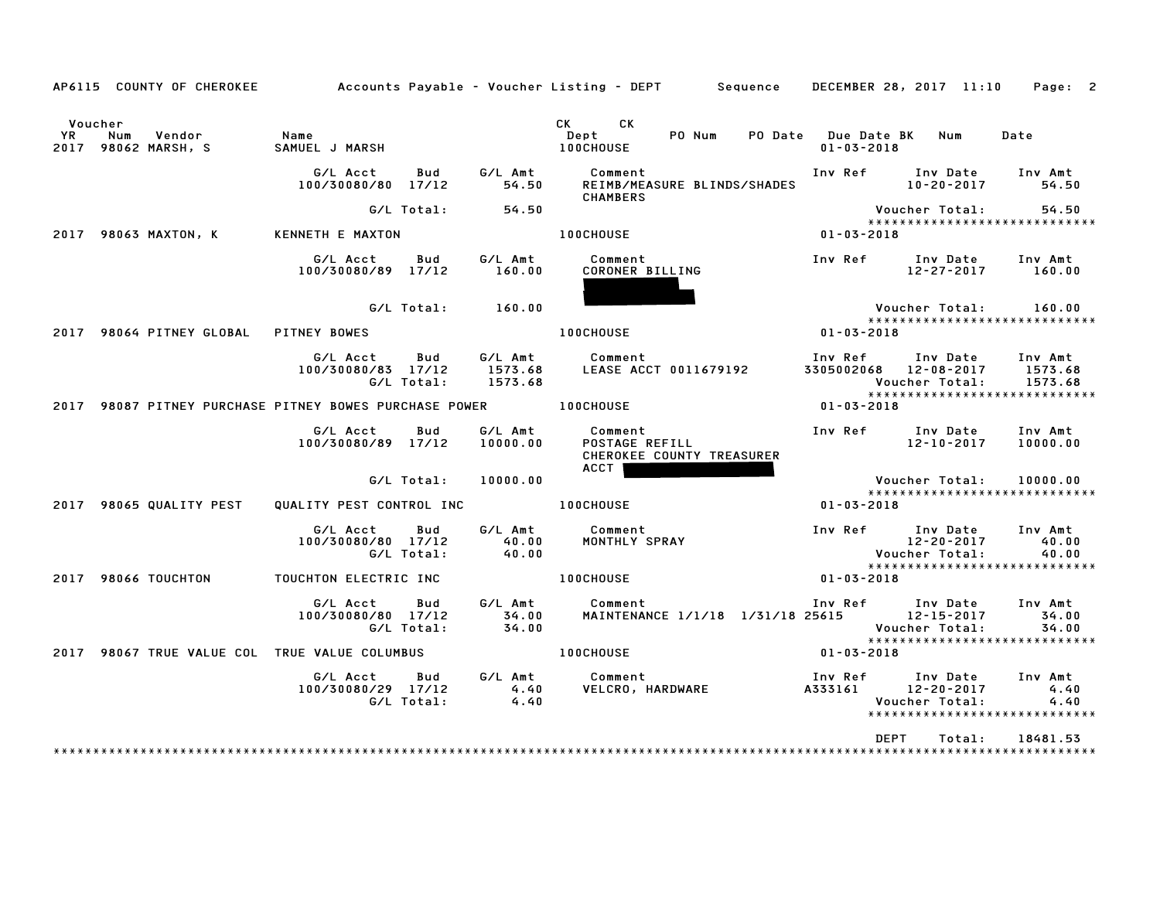|                              | AP6115 COUNTY OF CHEROKEE             |                                                   |                   |                               | Accounts Payable – Voucher Listing – DEPT         Sequence     DECEMBER 28, 2017  11:10     Page:   2 |                                                           |                                |                                                             |
|------------------------------|---------------------------------------|---------------------------------------------------|-------------------|-------------------------------|-------------------------------------------------------------------------------------------------------|-----------------------------------------------------------|--------------------------------|-------------------------------------------------------------|
| Voucher<br>YR<br>Num<br>2017 | Vendor<br>98062 MARSH, S              | Name<br>SAMUEL J MARSH                            |                   |                               | CK CK<br>PO Num<br>Dept<br><b>100CHOUSE</b>                                                           | PO Date Due Date BK<br>$01 - 03 - 2018$                   | Num                            | Date                                                        |
|                              |                                       | G/L Acct<br>100/30080/80 17/12                    | Bud               | G⁄L Amt<br>54.50              | Comment<br>REIMB/MEASURE BLINDS/SHADES                                                                | Inv Ref Inv Date<br>10-20-2017                            | $10 - 20 - 2017$               | Inv Amt<br>54.50                                            |
|                              |                                       |                                                   | G/L Total:        | 54.50                         | <b>CHAMBERS</b>                                                                                       |                                                           | Voucher Total:                 | 54.50                                                       |
| 2017 98063 MAXTON, K         |                                       | <b>KENNETH E MAXTON</b>                           |                   |                               | <b>100CHOUSE</b>                                                                                      | $01 - 03 - 2018$                                          |                                | *****************************                               |
|                              |                                       | G/L Acct<br>100/30080/89 17/12                    | Bud               | G/L Amt<br>160.00             | Comment<br>CORONER BILLING                                                                            |                                                           | Inv Ref Inv Date<br>12-27-2017 | Inv Amt<br>160.00                                           |
|                              |                                       |                                                   | G/L Total:        | 160.00                        |                                                                                                       |                                                           | Voucher Total:                 | 160.00                                                      |
|                              | 2017 98064 PITNEY GLOBAL PITNEY BOWES |                                                   |                   |                               | 100CHOUSE                                                                                             | $01 - 03 - 2018$                                          |                                | *****************************                               |
|                              |                                       | G/L Acct<br>100/30080/83 17/12                    | Bud<br>G/L Total: | G/L Amt<br>1573.68<br>1573.68 | Comment<br>LEASE ACCT 0011679192                                                                      | Inv Ref<br>3305002068 12-08-2017<br><b>Voucher Total:</b> | Inv Date Inv Amt               | 1573.68<br>1573.68                                          |
| 2017                         |                                       | 98087 PITNEY PURCHASE PITNEY BOWES PURCHASE POWER |                   |                               | <b>100CHOUSE</b>                                                                                      | $01 - 03 - 2018$                                          |                                |                                                             |
|                              |                                       | G/L Acct<br>100/30080/89 17/12                    | Bud               | G/L Amt<br>10000.00           | Comment<br>POSTAGE REFILL<br>CHEROKEE COUNTY TREASURER<br><b>ACCT</b>                                 | Inv Ref Inv Date                                          | 12-10-2017                     | Inv Amt<br>10000.00                                         |
|                              |                                       |                                                   | G/L Total:        | 10000.00                      |                                                                                                       |                                                           | Voucher Total:                 | 10000.00<br>*****************************                   |
| 2017                         | 98065 QUALITY PEST                    | QUALITY PEST CONTROL INC 100CHOUSE                |                   |                               |                                                                                                       | $01 - 03 - 2018$                                          |                                |                                                             |
|                              |                                       | G/L Acct<br>100/30080/80 17/12                    | Bud<br>G/L Total: | G/L Amt<br>40.00<br>40.00     | <b>Comment</b><br>MONTHLY SPRAY                                                                       | Inv Ref Inv Date                                          | 12-20-2017<br>Voucher Total:   | Inv Amt<br>40.00<br>40.00<br>****************************** |
| 2017 98066 TOUCHTON          |                                       | TOUCHTON ELECTRIC INC                             |                   |                               | <b>100CHOUSE</b>                                                                                      | $01 - 03 - 2018$                                          |                                |                                                             |
|                              |                                       | G/L Acct<br>100/30080/80 17/12                    | Bud<br>G/L Total: | G/L Amt<br>34.00<br>34.00     | Comment                                                                                               |                                                           | Voucher Total:                 | Inv Amt<br>34.00<br>34.00<br>*****************************  |
| 2017                         |                                       | 98067 TRUE VALUE COL TRUE VALUE COLUMBUS          |                   |                               | <b>100CHOUSE</b>                                                                                      | $01 - 03 - 2018$                                          |                                |                                                             |
|                              |                                       | G/L Acct<br>100/30080/29 17/12                    | Bud<br>G/L Total: | 4.40<br>4.40                  | G/L Amt Comment<br>VELCRO, HARDWARE 4333161 12-20-2017                                                | Inv Ref                                                   | Inv Date<br>Voucher Total:     | Inv Amt<br>4.40<br>4.40<br>*****************************    |
|                              |                                       |                                                   |                   |                               |                                                                                                       | <b>DEPT</b>                                               | Total:                         | 18481.53                                                    |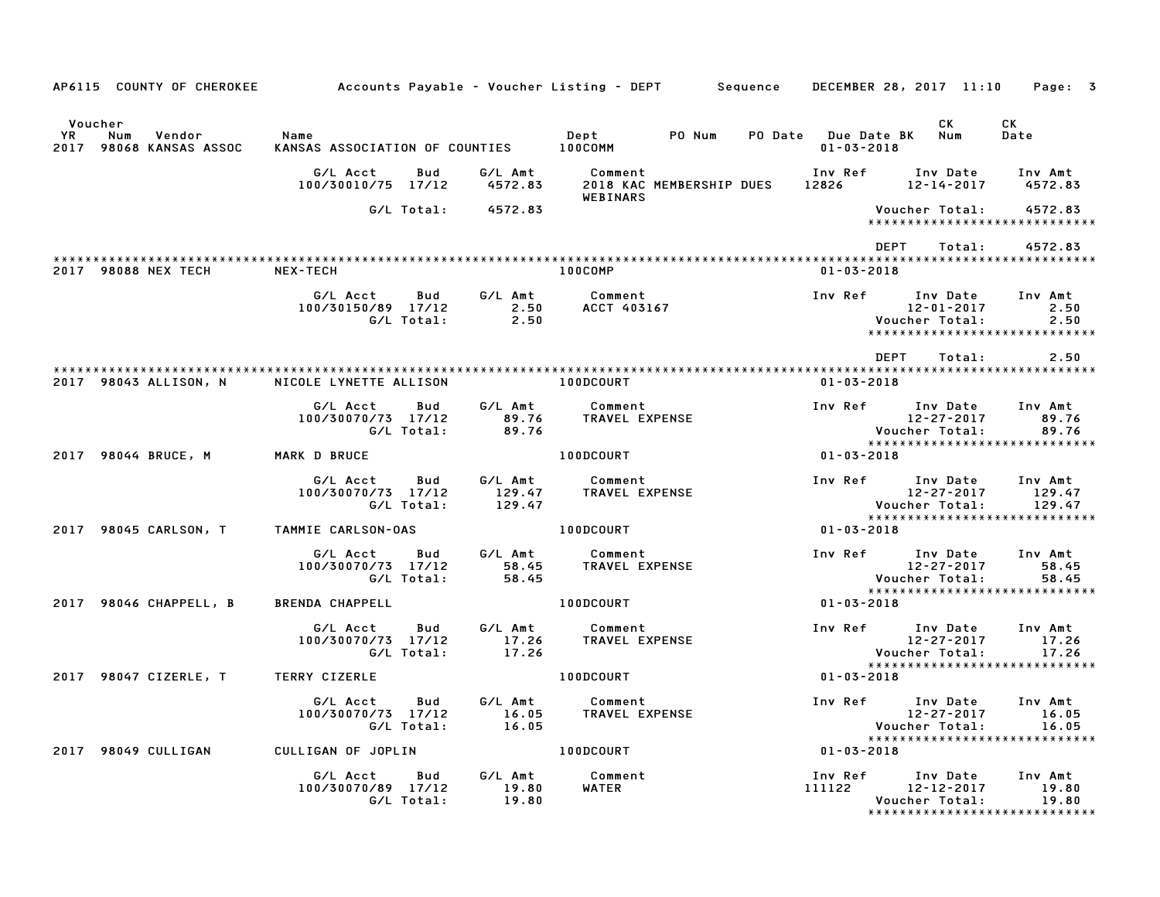| AP6115 COUNTY OF CHEROKEE                                        |                                                     |                             | Accounts Payable – Voucher Listing – DEPT         Sequence     DECEMBER 28, 2017  11:10     Page:   3 |                                         |                                                                                                        |
|------------------------------------------------------------------|-----------------------------------------------------|-----------------------------|-------------------------------------------------------------------------------------------------------|-----------------------------------------|--------------------------------------------------------------------------------------------------------|
| Voucher<br><b>YR</b><br>Num<br>Vendor<br>2017 98068 KANSAS ASSOC | Name<br>KANSAS ASSOCIATION OF COUNTIES              |                             | PO Num<br>Dept<br>100COMM                                                                             | PO Date Due Date BK<br>$01 - 03 - 2018$ | CK<br>CK.<br>Num<br>Date                                                                               |
|                                                                  | G/L Acct<br>Bud<br>100/30010/75 17/12               | G/L Amt<br>4572.83          | Comment<br>2018 KAC MEMBERSHIP DUES<br>WEBINARS                                                       | Inv Ref<br>12826                        | Inv Date<br>Inv Amt<br>12-14-2017<br>4572.83                                                           |
|                                                                  | G/L Total:                                          | 4572.83                     |                                                                                                       |                                         | 4572.83<br>Voucher Total:<br>*****************************                                             |
|                                                                  |                                                     |                             |                                                                                                       | DEPT                                    | Total:<br>4572.83                                                                                      |
| 2017 98088 NEX TECH                                              | NEX-TECH                                            |                             | 100COMP                                                                                               | $01 - 03 - 2018$                        |                                                                                                        |
|                                                                  | G/L Acct<br>Bud<br>100/30150/89 17/12<br>G/L Total: | G/L Amt<br>2.50<br>2.50     | Comment<br>ACCT 403167                                                                                | Inv Ref                                 | Inv Date<br>Inv Amt<br>2.50<br>12-01-2017<br>Voucher Total:<br>2.50<br>*****************************   |
|                                                                  |                                                     |                             |                                                                                                       | <b>DEPT</b>                             | 2.50<br>Total:                                                                                         |
| 2017 98043 ALLISON, N                                            | NICOLE LYNETTE ALLISON                              |                             | <b>100DCOURT</b>                                                                                      | $01 - 03 - 2018$                        |                                                                                                        |
|                                                                  | G/L Acct<br>Bud<br>100/30070/73 17/12<br>G/L Total: | G/L Amt<br>89.76<br>89.76   | Comment<br>TRAVEL EXPENSE                                                                             | Inv Ref Inv Date                        | Inv Amt<br>12-27-2017<br>89.76<br>89.76<br>Voucher Total:                                              |
| 2017 98044 BRUCE, M                                              | MARK D BRUCE                                        |                             | <b>100DCOURT</b>                                                                                      | 01-03-2018                              | ******************************                                                                         |
|                                                                  | G/L Acct<br>Bud<br>100/30070/73 17/12<br>G/L Total: | G/L Amt<br>129.47<br>129.47 | Comment<br>TRAVEL EXPENSE                                                                             | <b>Example 18 Trip Ref</b>              | Inv Date<br>Inv Amt<br>12-27-2017<br>129.47<br>Voucher Total:<br>129.47                                |
| 2017 98045 CARLSON, T                                            | TAMMIE CARLSON-OAS                                  |                             | <b>100DCOURT</b>                                                                                      | $01 - 03 - 2018$                        | *****************************                                                                          |
|                                                                  | G/L Acct<br>Bud<br>100/30070/73 17/12<br>G/L Total: | G/L Amt<br>58.45<br>58.45   | Comment<br>TRAVEL EXPENSE                                                                             | Inv Ref Inv Date                        | Inv Amt<br>12-27-2017<br>58.45<br>Voucher Total:<br>58.45                                              |
| 2017 98046 CHAPPELL, B                                           | <b>BRENDA CHAPPELL</b>                              |                             | 100DCOURT                                                                                             | $01 - 03 - 2018$                        | *****************************                                                                          |
|                                                                  | G/L Acct<br>Bud<br>100/30070/73 17/12<br>G/L Total: | G/L Amt<br>17.26<br>17.26   | Comment<br>TRAVEL EXPENSE                                                                             | Inv Ref                                 | Inv Date<br>Inv Amt<br>12-27-2017<br>17.26<br>17.26<br>Voucher Total:                                  |
| 2017 98047 CIZERLE, T                                            | <b>TERRY CIZERLE</b>                                |                             | <b>100DCOURT</b>                                                                                      | $01 - 03 - 2018$                        | *****************************                                                                          |
|                                                                  | G/L Acct<br>Bud<br>100/30070/73 17/12<br>G/L Total: | G/L Amt<br>16.05<br>16.05   | Comment<br>TRAVEL EXPENSE                                                                             | Inv Ref Inv Date                        | Inv Amt<br>12-27-2017<br>16.05<br>16.05<br>Voucher Total:<br>*****************************             |
| 2017 98049 CULLIGAN                                              | CULLIGAN OF JOPLIN                                  |                             | 100DCOURT                                                                                             | $01 - 03 - 2018$                        |                                                                                                        |
|                                                                  | G/L Acct<br>Bud<br>100/30070/89 17/12<br>G/L Total: | G/L Amt<br>19.80<br>19.80   | Comment<br>WATER                                                                                      | Inv Ref<br>111122                       | Inv Amt<br>Inv Date<br>12-12-2017<br>19.80<br>Voucher Total:<br>19.80<br>***************************** |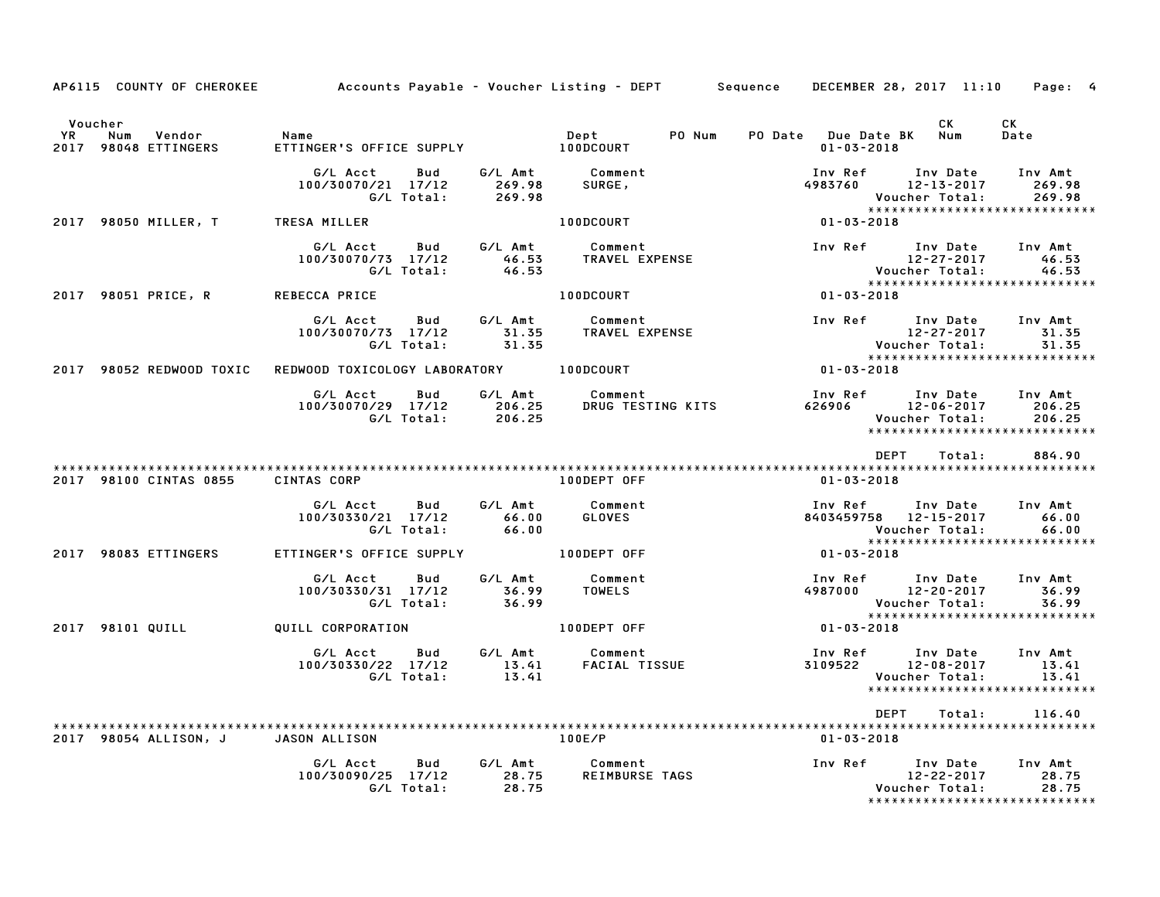| AP6115 COUNTY OF CHEROKEE                                     | Accounts Payable - Voucher Listing - DEPT Sequence                                    |                    |                                                                | DECEMBER 28, 2017 11:10                                     |                              | Page: 4                                                    |
|---------------------------------------------------------------|---------------------------------------------------------------------------------------|--------------------|----------------------------------------------------------------|-------------------------------------------------------------|------------------------------|------------------------------------------------------------|
| Voucher<br><b>YR</b><br>Num<br>Vendor<br>2017 98048 ETTINGERS | Name<br>nept<br>ETTINGER'S OFFICE SUPPLY 100DCOURT                                    |                    | Dept<br>PO Num                                                 | PO Date Due Date BK Num<br>$01 - 03 - 2018$                 | CK                           | CK<br>Date                                                 |
|                                                               |                                                                                       |                    | Bud G/L Amt Comment                                            | Inv Ref      Inv Date     Inv Amt<br>$4983760$ $12-13-2017$ | Voucher Total:               | 269.98<br>269.98                                           |
| 2017 98050 MILLER, T TRESA MILLER                             |                                                                                       |                    | 100DCOURT                                                      | 01-03-2018                                                  |                              |                                                            |
|                                                               | G/L Acct<br>Bud<br>100/30070/73 17/12<br>G/L Total:                                   | 46.53              | G/L Amt Comment<br>46.53 TRAVEL EXPENSE                        | Inv Ref Inv Date                                            |                              | Inv Amt                                                    |
| 2017 98051 PRICE, R                                           | REBECCA PRICE                                                                         |                    | <b>100DCOURT</b>                                               | $01 - 03 - 2018$                                            |                              |                                                            |
|                                                               | G/L Acct Bud<br>100/30070/73 17/12<br>G/L Total:                                      |                    | -- -<br>31.35        TRAVEL  EXPENSE<br>31.35                  | Inv Ref Inv Date Inv Amt                                    |                              |                                                            |
| 2017 98052 REDWOOD TOXIC                                      | REDWOOD TOXICOLOGY LABORATORY 100DCOURT                                               |                    |                                                                | $01 - 03 - 2018$                                            |                              |                                                            |
|                                                               | G/L Acct Bud G/L Amt Comment<br>100/30070/29 17/12 206.25<br>C/L Total: 206.25 206.25 |                    |                                                                | Inv Ref Inv Date Inv Amt                                    | Voucher Total:               | 206.25<br>206.25<br>******************************         |
|                                                               |                                                                                       |                    |                                                                | DEPT                                                        | Total:                       | 884.90                                                     |
| 2017 98100 CINTAS 0855                                        | CINTAS CORP                                                                           |                    | 100DEPT OFF                                                    | 01-03-2018                                                  |                              |                                                            |
|                                                               | G/L Acct<br>Bud<br>100/30330/21 17/12<br>G/L Total:                                   | 66.00<br>66.00     | G/L Amt Comment<br>GLOVES                                      | Inv Ref Inv Date<br>8403459758 12-15-2017                   | Voucher Total:               | Inv Amt<br>66.00<br>66.00                                  |
| 2017 98083 ETTINGERS                                          | ETTINGER'S OFFICE SUPPLY                                                              |                    | 100DEPT OFF                                                    | 01-03-2018                                                  |                              |                                                            |
|                                                               | G/L Acct<br>Bud<br>100/30330/31 17/12<br>G/L Total:                                   | 36.99<br>36.99     | G/L Amt Comment<br><b>TOWELS</b>                               | Inv Ref Inv Date<br>4987000 12-20-2017                      | Voucher Total:               | Inv Amt<br>36.99<br>36.99<br>***************************** |
| 2017 98101 QUILL                                              | QUILL CORPORATION                                                                     |                    | 100DEPT OFF                                                    | $01 - 03 - 2018$                                            |                              |                                                            |
|                                                               | G/L Acct<br><b>Bud</b><br>100/30330/22 17/12<br>G/L Total:                            | $13.41$<br>$13.41$ | G/L Amt Comment<br>13.41 FACIAL TI<br>Comment<br>FACIAL TISSUE | Inv Ref Inv Date<br>$3109522$ $12-08-2017$                  | Voucher Total:               | Inv Amt<br>13.41<br>13.41                                  |
|                                                               |                                                                                       |                    |                                                                | DEPT                                                        | Total:                       | 116.40                                                     |
|                                                               | 2017 98054 ALLISON, J JASON ALLISON                                                   |                    | 100E/P                                                         | 01-03-2018                                                  |                              |                                                            |
|                                                               | G/L Acct<br>Bud<br>100/30090/25 17/12<br>G/L Total:                                   | 28.75<br>28.75     | G/L Amt Comment<br>REIMBURSE TAGS                              | Inv Ref Inv Date Inv Amt                                    | 12-22-2017<br>Voucher Total: | 28.75<br>28.75<br>*****************************            |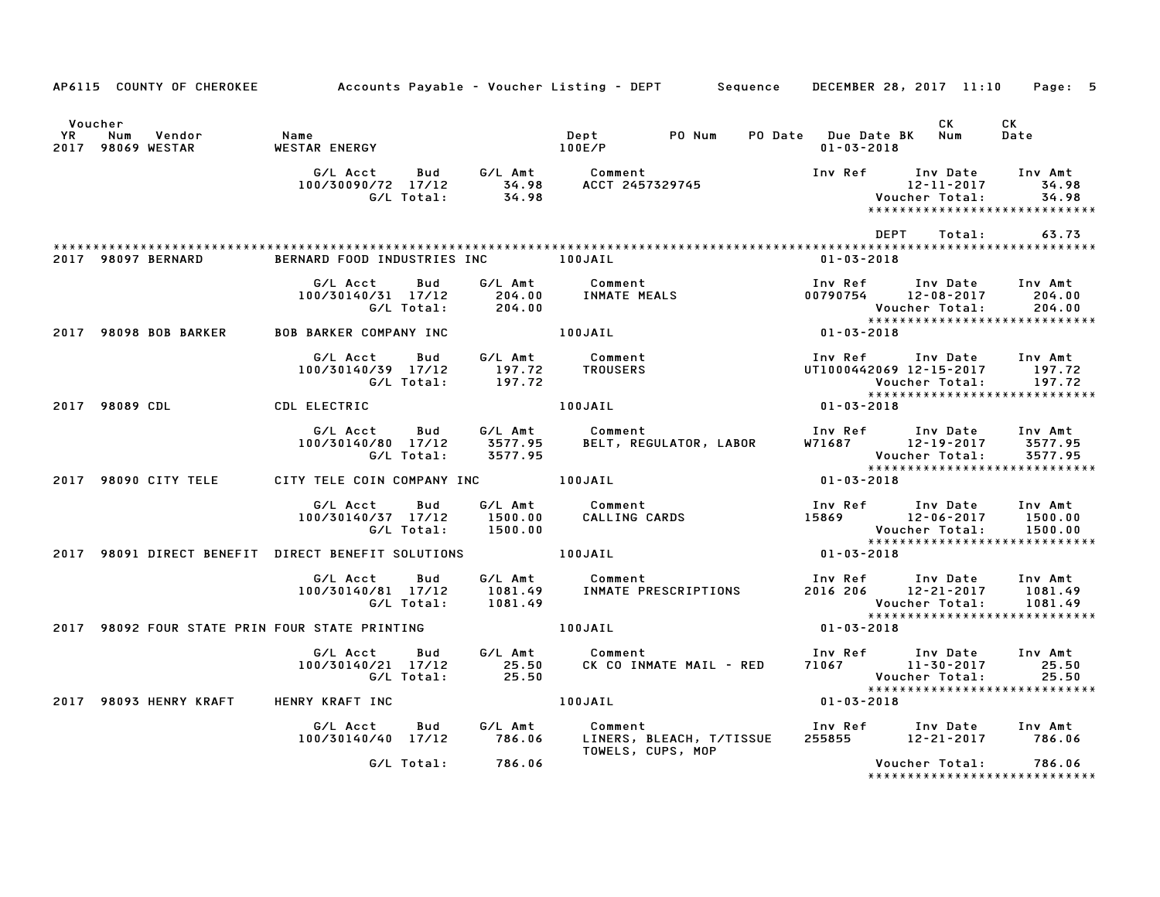|                      |                |                             | AP6115 COUNTY OF CHEROKEE 6 Accounts Payable - Voucher Listing - DEPT 5 Sequence DECEMBER 28, 2017 11:10 Page: 5 |                   |                               |                                                          |                         |                                                                              |                              |                                                                              |
|----------------------|----------------|-----------------------------|------------------------------------------------------------------------------------------------------------------|-------------------|-------------------------------|----------------------------------------------------------|-------------------------|------------------------------------------------------------------------------|------------------------------|------------------------------------------------------------------------------|
| Voucher<br><b>YR</b> | Num            | Vendor<br>2017 98069 WESTAR | Name<br><b>WESTAR ENERGY</b>                                                                                     |                   |                               | Dept<br>100E/P                                           | PO Num                  | PO Date Due Date BK Num<br>$01 - 03 - 2018$                                  | CK                           | CK<br>Date                                                                   |
|                      |                |                             | G/L Acct<br>100/30090/72 17/12                                                                                   | G/L Total:        |                               | Bud G/LAmt Comment                                       |                         | Inv Ref Inv Date                                                             | 12-11-2017<br>Voucher Total: | Inv Amt<br>34.98<br>34.98                                                    |
|                      |                |                             |                                                                                                                  |                   |                               |                                                          |                         | DEPT                                                                         | Total:                       | 63.73                                                                        |
|                      |                | 2017 98097 BERNARD          | BERNARD FOOD INDUSTRIES INC 100JAIL                                                                              |                   |                               |                                                          |                         | $01 - 03 - 2018$                                                             |                              |                                                                              |
|                      |                |                             | G/L Acct<br>100/30140/31 17/12                                                                                   | Bud<br>G/L Total: | 204.00                        | G/L Amt Comment<br>204.00 INMATE MEALS                   |                         | Inv Ref<br>00790754 12-08-2017                                               | Inv Date<br>Voucher Total:   | Inv Amt<br>204.00<br>204.00                                                  |
|                      |                | 2017 98098 BOB BARKER       | <b>BOB BARKER COMPANY INC</b>                                                                                    |                   |                               | 100JAIL                                                  |                         | $01 - 03 - 2018$                                                             |                              |                                                                              |
|                      |                |                             | G/L Acct<br>100/30140/39 17/12                                                                                   | Bud<br>G/L Total: | G⁄L Amt<br>197.72<br>197.72   | Comment<br>TROUSERS                                      |                         | Inv Ref      Inv Date     Inv Amt<br>UT1000442069 12-15-2017 197.72          | Voucher Total:               | 197.72<br>*****************************                                      |
|                      | 2017 98089 CDL |                             | CDL ELECTRIC                                                                                                     |                   |                               | 100JAIL                                                  |                         | $01 - 03 - 2018$                                                             |                              |                                                                              |
|                      |                |                             | G/L Acct<br>100/30140/80 17/12                                                                                   | Bud<br>G/L Total: | G/L Amt<br>3577.95<br>3577.95 | Comment<br>BELT, REGULATOR, LABOR                        |                         | Inv Ref       Inv Date     Inv Amt<br>W71687         12–19–2017      3577.95 | Voucher Total:               | 3577.95                                                                      |
|                      |                | 2017 98090 CITY TELE        | CITY TELE COIN COMPANY INC 100JAIL                                                                               |                   |                               |                                                          |                         | $01 - 03 - 2018$                                                             |                              |                                                                              |
|                      |                |                             | G/L Acct<br>100/30140/37 17/12                                                                                   | Bud<br>G/L Total: | 1500.00<br>1500.00            | G/L Amt Comment<br>Comment<br>CALLING CARDS              |                         | Inv Ref       Inv Date<br>15869             12-06-2017                       | Voucher Total:               | Inv Amt<br>1500.00<br>1500.00                                                |
|                      |                |                             | 2017 98091 DIRECT BENEFIT DIRECT BENEFIT SOLUTIONS 100JAIL                                                       |                   |                               |                                                          |                         | $01 - 03 - 2018$                                                             |                              | *****************************                                                |
|                      |                |                             | G/L Acct Bud<br>100/30140/81 17/12                                                                               | G/L Total:        | G/L Amt<br>1081.49<br>1081.49 | Comment                                                  | INMATE PRESCRIPTIONS    | Inv Ref      Inv Date<br>2016 206 12-21-2017                                 |                              | Inv Amt<br>1081.49<br>Voucher Total: 1081.49<br>**************************** |
|                      |                |                             | 2017 98092 FOUR STATE PRIN FOUR STATE PRINTING                                                                   |                   |                               | 100JAIL                                                  |                         | $01 - 03 - 2018$                                                             |                              |                                                                              |
|                      |                |                             | G/L Acct<br>100/30140/21 17/12                                                                                   | Bud<br>G/L Total: | G/L Amt<br>25.50<br>25.50     | Comment                                                  | CK CO INMATE MAIL - RED | Inv Ref      Inv Date<br>71067            11–30–2017                         | Voucher Total:               | Inv Amt<br>25.50<br>25.50                                                    |
|                      |                | 2017 98093 HENRY KRAFT      | HENRY KRAFT INC                                                                                                  |                   |                               | 100JAIL                                                  |                         | $01 - 03 - 2018$                                                             |                              |                                                                              |
|                      |                |                             | G/L Acct<br>100/30140/40 17/12                                                                                   | Bud               | G/L Amt<br>786.06             | Comment<br>LINERS, BLEACH, T/TISSUE<br>TOWELS, CUPS, MOP |                         | Inv Ref      Inv Date<br>255855                                              | 12-21-2017 786.06            | Inv Amt                                                                      |
|                      |                |                             |                                                                                                                  | G/L Total:        | 786.06                        |                                                          |                         |                                                                              | Voucher Total:               | 786.06<br>******************************                                     |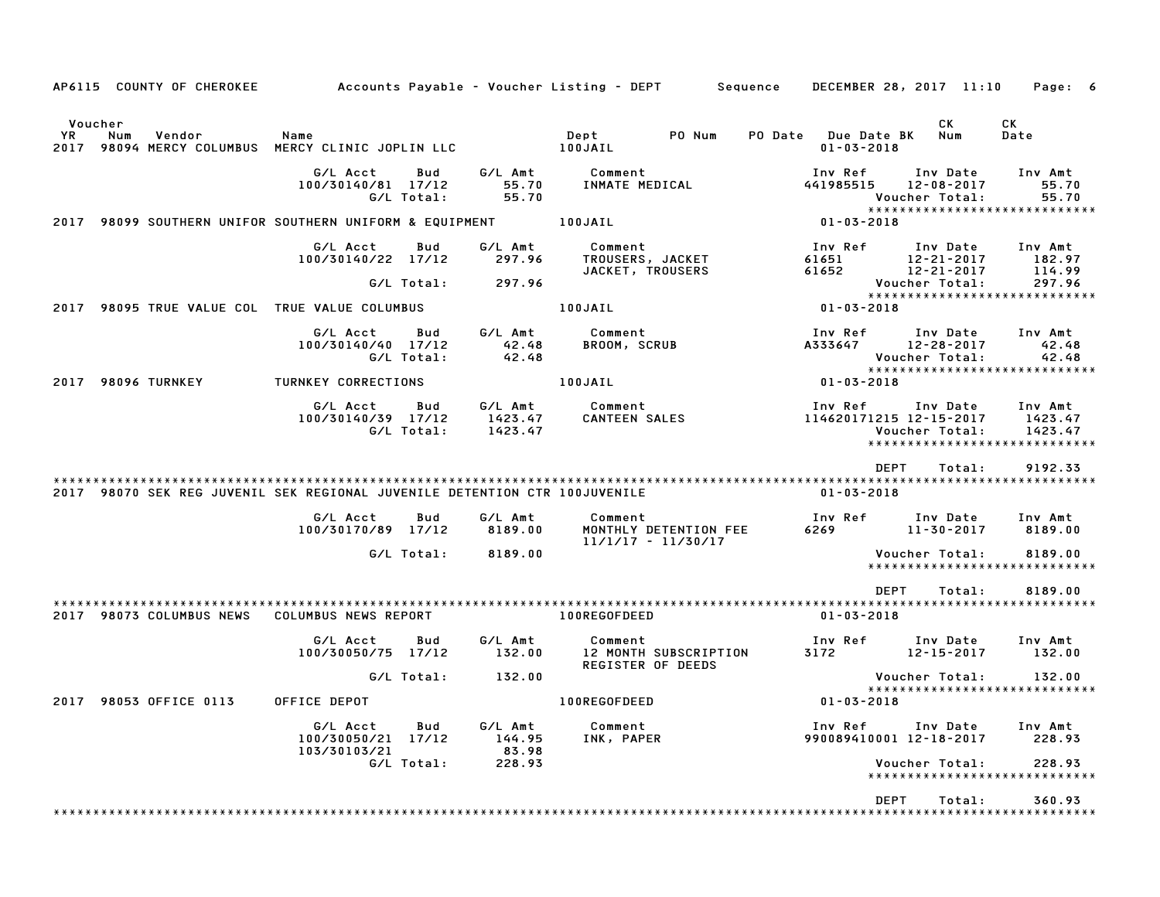| AP6115 COUNTY OF CHEROKEE                                                  |                                                       |                               | Accounts Payable – Voucher Listing – DEPT         Sequence | DECEMBER 28, 2017 11:10                 |                                                | Page: 6                                                        |
|----------------------------------------------------------------------------|-------------------------------------------------------|-------------------------------|------------------------------------------------------------|-----------------------------------------|------------------------------------------------|----------------------------------------------------------------|
| Voucher<br>YR<br>Vendor<br>Num<br>2017                                     | Name<br>98094 MERCY COLUMBUS MERCY CLINIC JOPLIN LLC  |                               | PO Num<br>Dept<br>100JAIL                                  | PO Date Due Date BK<br>$01 - 03 - 2018$ | <b>CK</b><br>Num                               | СK<br>Date                                                     |
|                                                                            | G/L Acct<br>Bud<br>100/30140/81 17/12<br>G/L Total:   | G/L Amt<br>55.70<br>55.70     | Comment<br>INMATE MEDICAL                                  | Inv Ref<br>441985515                    | Inv Date<br>$12 - 08 - 2017$<br>Voucher Total: | Inv Amt<br>55.70<br>55.70                                      |
| 2017 98099 SOUTHERN UNIFOR SOUTHERN UNIFORM & EQUIPMENT 100JAIL            |                                                       |                               |                                                            | $01 - 03 - 2018$                        |                                                | *****************************                                  |
|                                                                            | G/L Acct<br>Bud<br>100/30140/22 17/12                 | G/L Amt<br>297.96             | Comment<br>TROUSERS, JACKET<br>JACKET, TROUSERS            | Inv Ref<br>61651<br>61652               | Inv Date<br>$12 - 21 - 2017$<br>12-21-2017     | Inv Amt<br>182.97<br>114.99                                    |
|                                                                            | G/L Total:                                            | 297.96                        |                                                            |                                         | Voucher Total:                                 | 297.96<br>*****************************                        |
| 2017 98095 TRUE VALUE COL TRUE VALUE COLUMBUS                              |                                                       |                               | 100JAIL                                                    | 01-03-2018                              |                                                |                                                                |
|                                                                            | G/L Acct<br>Bud<br>100/30140/40 17/12<br>G/L Total:   | G/L Amt<br>42.48<br>42.48     | Comment<br>BROOM, SCRUB                                    | Inv Ref<br>A333647                      | Inv Date<br>12-28-2017<br>Voucher Total:       | Inv Amt<br>42.48<br>42.48                                      |
| 2017 98096 TURNKEY                                                         | TURNKEY CORRECTIONS                                   |                               | 100JAIL                                                    | $01 - 03 - 2018$                        |                                                | *****************************                                  |
|                                                                            | G/L Acct<br>Bud<br>100/30140/39 17/12<br>G/L Total:   | G/L Amt<br>1423.47<br>1423.47 | Comment<br>CANTEEN SALES                                   | Inv Ref<br>114620171215 12-15-2017      | Inv Date<br>Voucher Total:                     | Inv Amt<br>1423.47<br>1423.47<br>***************************** |
|                                                                            |                                                       |                               |                                                            | <b>DEPT</b>                             | Total:                                         | 9192.33                                                        |
| 2017 98070 SEK REG JUVENIL SEK REGIONAL JUVENILE DETENTION CTR 100JUVENILE |                                                       |                               |                                                            | 01-03-2018                              |                                                |                                                                |
|                                                                            | G/L Acct<br>Bud<br>100/30170/89 17/12                 | G/L Amt<br>8189.00            | Comment<br>MONTHLY DETENTION FEE<br>$11/1/17 - 11/30/17$   | Inv Ref<br>6269                         | Inv Date<br>11-30-2017                         | Inv Amt<br>8189.00                                             |
|                                                                            | G/L Total:                                            | 8189.00                       |                                                            |                                         | Voucher Total:                                 | 8189.00<br>****************************                        |
| 2017 98073 COLUMBUS NEWS                                                   | COLUMBUS NEWS REPORT                                  |                               | 100REGOFDEED                                               | <b>DEPT</b><br>$01 - 03 - 2018$         | Total:                                         | 8189.00                                                        |
|                                                                            | G/L Acct<br>Bud<br>100/30050/75 17/12                 | G/L Amt<br>132.00             | Comment<br>12 MONTH SUBSCRIPTION<br>REGISTER OF DEEDS      | Inv Ref<br>3172                         | Inv Date<br>12-15-2017                         | Inv Amt<br>132.00                                              |
|                                                                            | G/L Total:                                            | 132.00                        |                                                            |                                         | Voucher Total:                                 | 132.00<br>*****************************                        |
| 2017 98053 OFFICE 0113                                                     | OFFICE DEPOT                                          |                               | 100REGOFDEED                                               | 01-03-2018                              |                                                |                                                                |
|                                                                            | G/L Acct<br>Bud<br>100/30050/21 17/12<br>103/30103/21 | G/L Amt<br>144.95<br>83.98    | Comment<br>INK, PAPER                                      | Inv Ref<br>990089410001 12-18-2017      | Inv Date                                       | Inv Amt<br>228.93                                              |
|                                                                            | G/L Total:                                            | 228.93                        |                                                            |                                         | Voucher Total:                                 | 228.93<br>*************************                            |
|                                                                            |                                                       |                               |                                                            | <b>DEPT</b>                             | Total:                                         | 360.93                                                         |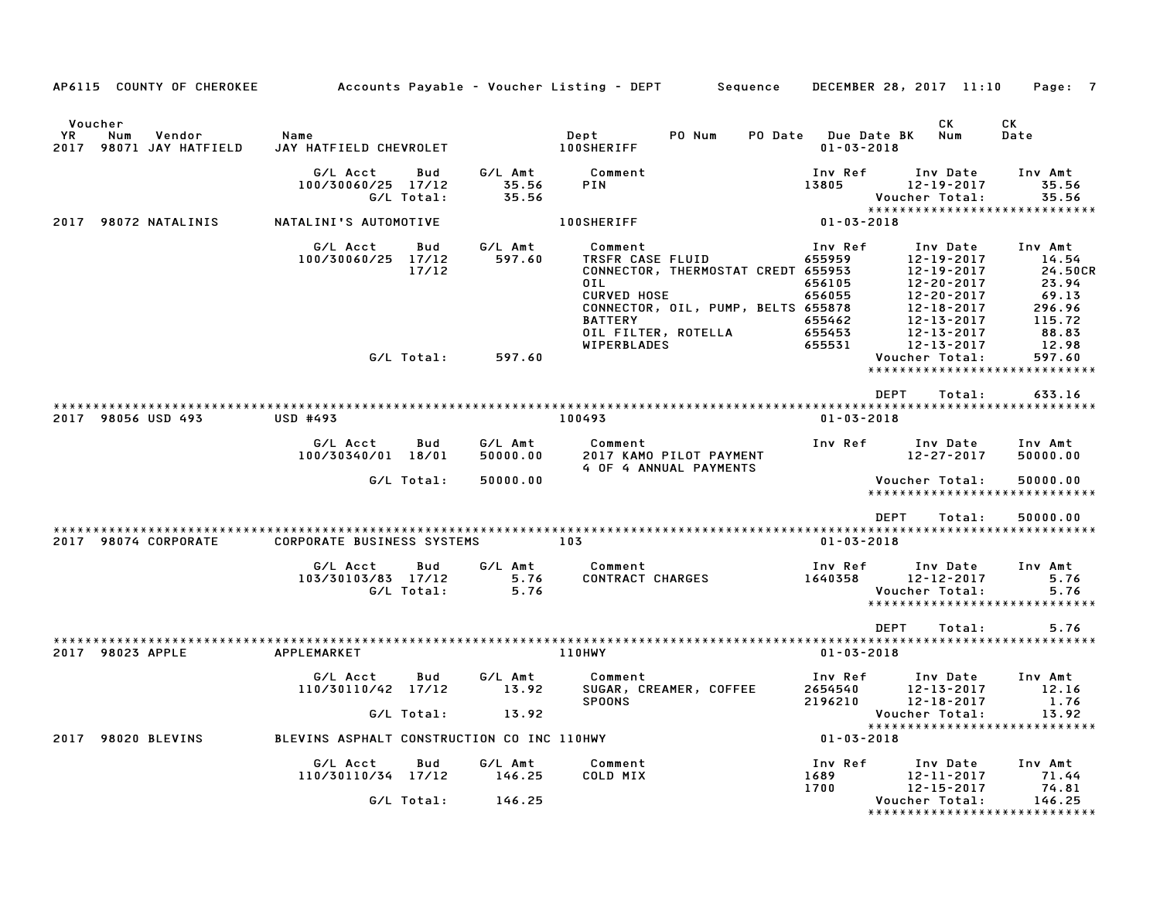| AP6115 COUNTY OF CHEROKEE                                 |                                                              |                             | Accounts Payable – Voucher Listing – DEPT Sequence                                                                                                                                           | DECEMBER 28, 2017 11:10                                                                                                                                                                                                                                                        | Page: 7                                                                                       |
|-----------------------------------------------------------|--------------------------------------------------------------|-----------------------------|----------------------------------------------------------------------------------------------------------------------------------------------------------------------------------------------|--------------------------------------------------------------------------------------------------------------------------------------------------------------------------------------------------------------------------------------------------------------------------------|-----------------------------------------------------------------------------------------------|
| Voucher<br>YR<br>Num<br>Vendor<br>2017 98071 JAY HATFIELD | Name<br>JAY HATFIELD CHEVROLET                               |                             | Dept<br>PO Num<br><b>100SHERIFF</b>                                                                                                                                                          | CK<br>PO Date Due Date BK<br>Num<br>$01 - 03 - 2018$                                                                                                                                                                                                                           | СK<br>Date                                                                                    |
|                                                           | G/L Acct<br>Bud<br>100/30060/25 17/12<br>G/L Total:          | G/L Amt<br>35.56<br>35.56   | Comment<br>PIN                                                                                                                                                                               | Inv Ref<br>Inv Date<br>13805<br>$12 - 19 - 2017$<br>Voucher Total:                                                                                                                                                                                                             | Inv Amt<br>35.56<br>35.56                                                                     |
| 2017 98072 NATALINIS                                      | NATALINI'S AUTOMOTIVE                                        |                             | <b>100SHERIFF</b>                                                                                                                                                                            | ******************************<br>$01 - 03 - 2018$                                                                                                                                                                                                                             |                                                                                               |
|                                                           | G/L Acct<br>Bud<br>100/30060/25 17/12<br>17/12<br>G/L Total: | G/L Amt<br>597.60<br>597.60 | Comment<br>TRSFR CASE FLUID<br>CONNECTOR, THERMOSTAT CREDT 655953<br>0IL<br><b>CURVED HOSE</b><br>CONNECTOR, OIL, PUMP, BELTS 655878<br><b>BATTERY</b><br>OIL FILTER, ROTELLA<br>WIPERBLADES | Inv Ref<br>Inv Date<br>$\begin{array}{cc} 12-19-2017\\ 655953 & 12-19-2017\\ 656105 & 12-20-2017\\ 656055 & 12-20-2017\\ 655878 & 12-18-2017\\ 655462 & 12-13-2017\\ 655463 & 12-13-2017\\ 55543 & 12-13-2017 \end{array}$<br>655462<br>655531<br>12-13-2017<br>Voucher Total: | Inv Amt<br>14.54<br>24.50CR<br>23.94<br>69.13<br>296.96<br>115.72<br>88.83<br>12.98<br>597.60 |
|                                                           |                                                              |                             |                                                                                                                                                                                              | *****************************                                                                                                                                                                                                                                                  |                                                                                               |
|                                                           |                                                              |                             |                                                                                                                                                                                              | <b>DEPT</b><br>Total:                                                                                                                                                                                                                                                          | 633.16                                                                                        |
| 2017 98056 USD 493                                        | <b>USD #493</b>                                              |                             | 100493                                                                                                                                                                                       | $01 - 03 - 2018$                                                                                                                                                                                                                                                               |                                                                                               |
|                                                           | G/L Acct<br>Bud<br>100/30340/01 18/01                        | G/L Amt<br>50000.00         | Comment<br>2017 KAMO PILOT PAYMENT<br>4 OF 4 ANNUAL PAYMENTS                                                                                                                                 | Inv Ref<br>Inv Date<br>$12 - 27 - 2017$                                                                                                                                                                                                                                        | Inv Amt<br>50000.00                                                                           |
|                                                           | G/L Total:                                                   | 50000.00                    |                                                                                                                                                                                              | Voucher Total:<br>******************************                                                                                                                                                                                                                               | 50000.00                                                                                      |
|                                                           |                                                              |                             |                                                                                                                                                                                              | DEPT<br>Total:                                                                                                                                                                                                                                                                 | 50000.00                                                                                      |
| 2017 98074 CORPORATE                                      | <b>CORPORATE BUSINESS SYSTEMS</b>                            |                             | 103                                                                                                                                                                                          | $01 - 03 - 2018$                                                                                                                                                                                                                                                               |                                                                                               |
|                                                           | G/L Acct<br>Bud<br>103/30103/83 17/12<br>G/L Total:          | 5.76<br>5.76                | G/L Amt Comment<br>CONTRACT CHARGES                                                                                                                                                          | Inv Ref<br>Inv Date<br>1640358<br>$12 - 12 - 2017$<br>Voucher Total:<br>*****************************                                                                                                                                                                          | Inv Amt<br>5.76<br>5.76                                                                       |
|                                                           |                                                              |                             |                                                                                                                                                                                              | <b>DEPT</b><br>Total:                                                                                                                                                                                                                                                          | 5.76                                                                                          |
| 2017 98023 APPLE                                          | APPLEMARKET                                                  |                             | 110HWY                                                                                                                                                                                       | $01 - 03 - 2018$                                                                                                                                                                                                                                                               |                                                                                               |
|                                                           | G/L Acct<br>Bud<br>110/30110/42 17/12<br>G/L Total:          | G/L Amt<br>13.92<br>13.92   | Comment<br>SUGAR, CREAMER, COFFEE<br><b>SPOONS</b>                                                                                                                                           | Inv Ref<br>Inv Date<br>2654540<br>$12 - 13 - 2017$<br>2196210<br>$12 - 18 - 2017$<br>Voucher Total:                                                                                                                                                                            | Inv Amt<br>12.16<br>1.76<br>13.92                                                             |
| 2017 98020 BLEVINS                                        | BLEVINS ASPHALT CONSTRUCTION CO INC 110HWY                   |                             |                                                                                                                                                                                              | *****************************<br>$01 - 03 - 2018$                                                                                                                                                                                                                              |                                                                                               |
|                                                           | G/L Acct<br>Bud<br>110/30110/34 17/12                        | G/L Amt<br>146.25           | Comment<br>COLD MIX                                                                                                                                                                          | Inv Ref<br>Inv Date<br>$12 - 11 - 2017$<br>1689                                                                                                                                                                                                                                | Inv Amt<br>71.44                                                                              |
|                                                           | G/L Total:                                                   | 146.25                      |                                                                                                                                                                                              | 1700<br>12-15-2017<br>Voucher Total:<br>*****************************                                                                                                                                                                                                          | 74.81<br>146.25                                                                               |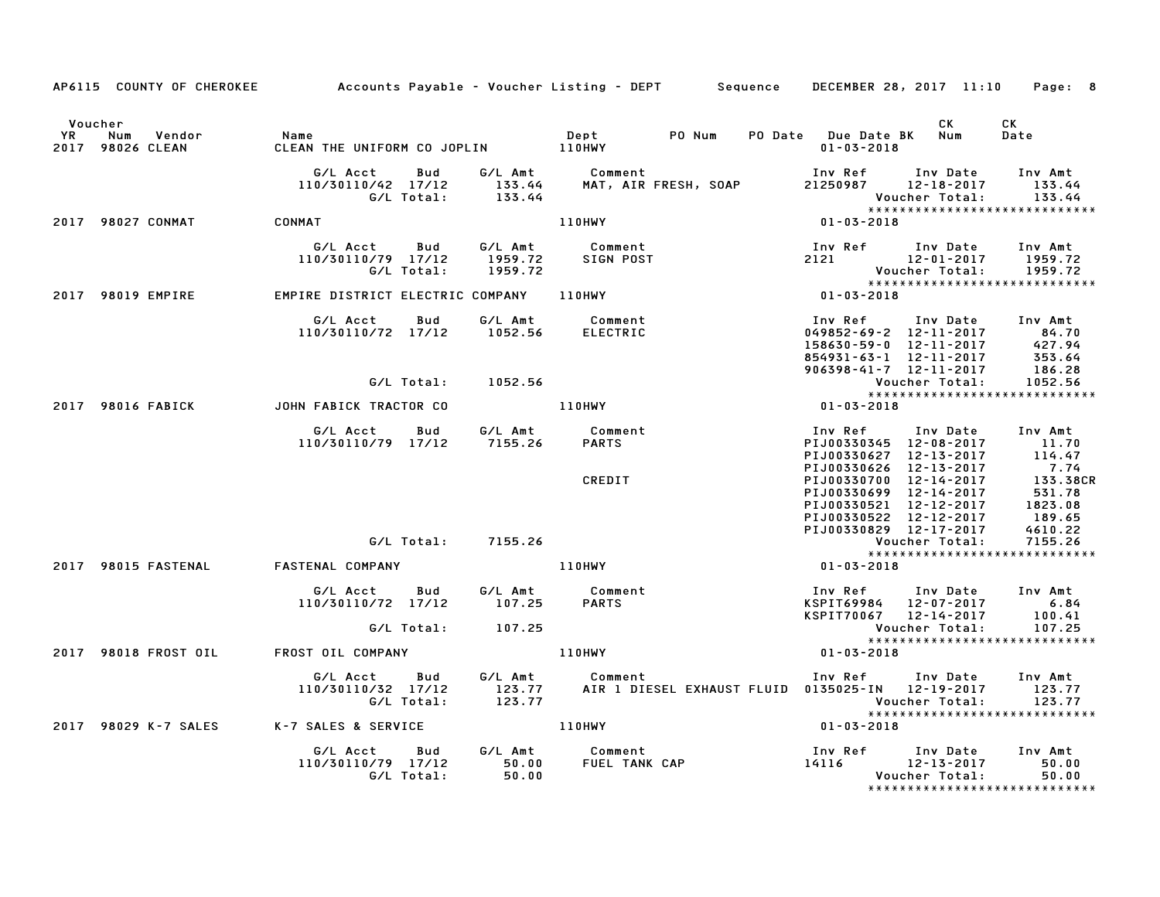|         |                                                 |                                                                                                   |                              | AP6115 COUNTY OF CHEROKEE Accounts Payable - Voucher Listing - DEPT Sequence DECEMBER 28, 2017 11:10 Page: 8                                                                                                                               |                                                                                                                                                                                                                                                                                   |                |            |
|---------|-------------------------------------------------|---------------------------------------------------------------------------------------------------|------------------------------|--------------------------------------------------------------------------------------------------------------------------------------------------------------------------------------------------------------------------------------------|-----------------------------------------------------------------------------------------------------------------------------------------------------------------------------------------------------------------------------------------------------------------------------------|----------------|------------|
| Voucher |                                                 |                                                                                                   |                              |                                                                                                                                                                                                                                            | PO Date Due Date BK Num<br>$01 - 03 - 2018$                                                                                                                                                                                                                                       | CK .           | CK<br>Date |
|         |                                                 |                                                                                                   |                              | G/L Acct Bud G/L Amt Comment Inv Ref Inv Date Inv Amt<br>110/30110/42 17/12 133.44 MAT, AIR FRESH, SOAP 21250987 12–18–2017 133.44<br>133.44 Voucher Total: 133.44                                                                         |                                                                                                                                                                                                                                                                                   |                | 133.44     |
|         | 2017 98027 CONMAT CONMAT                        |                                                                                                   |                              | 110HWY                                                                                                                                                                                                                                     | Voucher Total: 133.44<br>********************************<br>01-03-2018                                                                                                                                                                                                           |                |            |
|         |                                                 |                                                                                                   |                              | 4/1 Acct Bud G/L Amt Comment Inv Ref Inv Date Inv Amt<br>110/30110/79 17/12 1959.72 SIGN POST 2121 12-01-2017 1959.72<br>4/599.72 C/L Total: 1959.72<br>2017 98019 EMPIRE EMPIRE DISTRICT ELECTRIC COMPANY 110HWY<br>2017 98019 EMPIRE EMP |                                                                                                                                                                                                                                                                                   |                |            |
|         |                                                 |                                                                                                   |                              |                                                                                                                                                                                                                                            |                                                                                                                                                                                                                                                                                   |                |            |
|         |                                                 | G/L Acct  Bud  G/L Amt  Comment<br>110/30110/72  17/12  1052.56  ELECTRIC                         |                              |                                                                                                                                                                                                                                            |                                                                                                                                                                                                                                                                                   |                |            |
|         |                                                 |                                                                                                   | G/L Total: 1052.56           |                                                                                                                                                                                                                                            |                                                                                                                                                                                                                                                                                   |                |            |
|         | 2017 98016 FABICK                               | JOHN FABICK TRACTOR CO AND 110HWY                                                                 |                              |                                                                                                                                                                                                                                            |                                                                                                                                                                                                                                                                                   |                |            |
|         |                                                 | G/L Acct Bud G/L Amt Comment<br>110/30110/79 17/12 7155.26 PARTS                                  |                              | CREDIT                                                                                                                                                                                                                                     | Inv Ref      Inv Date     Inv Amt<br>1100330345<br>PIJ00330627 12-13-2017 114.47<br>PIJ00330626 12-13-2017 114.47<br>PIJ00330626 12-13-2017 7.74<br>PIJ00330700 12-14-2017 133.38CR<br>PIJ00330699 12-14-2017 133.38CR<br>PIJ00330521 12-12-2017 1823.08<br>PIJ00330522 12-12-201 |                |            |
|         |                                                 |                                                                                                   | G/L Total:        7155.26    | ۲1300330829<br>PIJ00330829<br>Vouc<br>01-03-2018                                                                                                                                                                                           |                                                                                                                                                                                                                                                                                   | Voucher Total: | 7155.26    |
|         | 2017 98015 FASTENAL                             | FASTENAL COMPANY THE RESERVE THE RESERVE TO A LIGHWY                                              |                              |                                                                                                                                                                                                                                            |                                                                                                                                                                                                                                                                                   |                |            |
|         |                                                 |                                                                                                   |                              |                                                                                                                                                                                                                                            |                                                                                                                                                                                                                                                                                   |                |            |
|         |                                                 | $110/30110/72$ $17/12$ $107.25$                                                                   |                              | G/L Acct        Bud            G/L Amt              Comment<br>110/30110/72    17/12            107.25         PARTS                                                                                                                       | Inv Ref Inv Date Inv Amt<br>XSPIT69984 12-07-2017 6.84<br>KSPIT70067 12-14-2017 100.41                                                                                                                                                                                            |                |            |
|         |                                                 | G/L Total:                                                                                        | 107.25                       |                                                                                                                                                                                                                                            |                                                                                                                                                                                                                                                                                   | Voucher Total: | 107.25     |
|         |                                                 |                                                                                                   |                              | 2017 98018 FROST OIL 6 FROST OIL COMPANY AND THE ROST OF THE RESERVE THE RESERVE OF THE RESERVE OF THE RESERVE                                                                                                                             |                                                                                                                                                                                                                                                                                   |                |            |
|         |                                                 |                                                                                                   | G/L Acct Bud G/L Amt Comment |                                                                                                                                                                                                                                            | Inv Ref Inv Date Inv Amt                                                                                                                                                                                                                                                          |                |            |
|         | 2017 98029 K-7 SALES K-7 SALES & SERVICE 110HWY |                                                                                                   |                              |                                                                                                                                                                                                                                            | $01 - 03 - 2018$                                                                                                                                                                                                                                                                  |                |            |
|         |                                                 | G/L Acct  Bud  G/L Amt  Comment<br>110/30110/79  17/12  50.00  FUEL TANK CAF<br>G/L Total:  50.00 |                              |                                                                                                                                                                                                                                            |                                                                                                                                                                                                                                                                                   | Voucher Total: | 50.00      |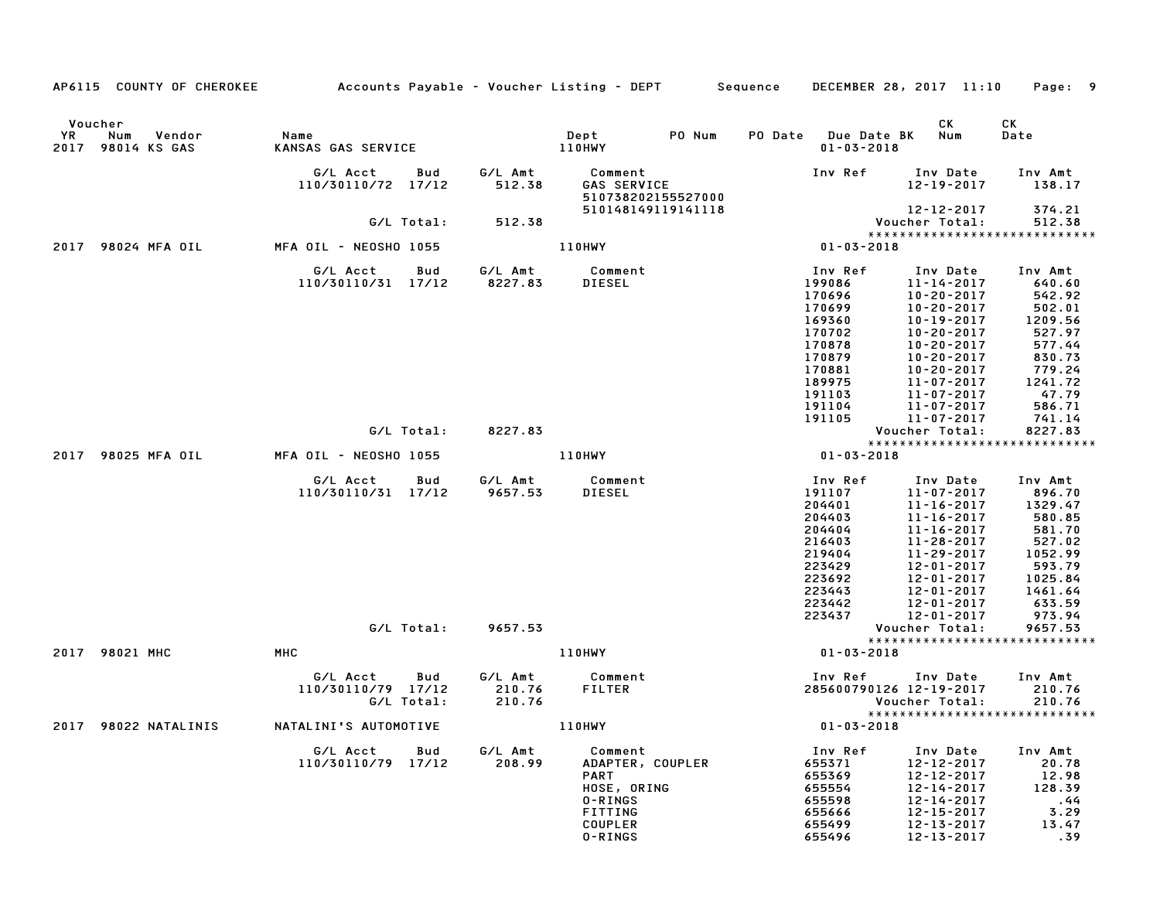|      | AP6115 COUNTY OF CHEROKEE                     | Accounts Payable – Voucher Listing – DEPT         Sequence |                   |                             |                                                                                                       |        |         | DECEMBER 28, 2017 11:10                                                                                               |                                                                                                                                                                                                              | Page: 9                                                                                                                |
|------|-----------------------------------------------|------------------------------------------------------------|-------------------|-----------------------------|-------------------------------------------------------------------------------------------------------|--------|---------|-----------------------------------------------------------------------------------------------------------------------|--------------------------------------------------------------------------------------------------------------------------------------------------------------------------------------------------------------|------------------------------------------------------------------------------------------------------------------------|
| YR   | Voucher<br>Num<br>Vendor<br>2017 98014 KS GAS | Name<br>KANSAS GAS SERVICE                                 |                   |                             | Dept<br>110HWY                                                                                        | PO Num | PO Date | <b>Due Date BK</b><br>$01 - 03 - 2018$                                                                                | CK<br>Num                                                                                                                                                                                                    | СK<br>Date                                                                                                             |
|      |                                               | G/L Acct<br>110/30110/72 17/12                             | Bud               | G/L Amt<br>512.38           | Comment<br>GAS SERVICE<br>510738202155527000                                                          |        |         | Inv Ref                                                                                                               | Inv Date<br>$12 - 19 - 2017$                                                                                                                                                                                 | Inv Amt<br>138.17                                                                                                      |
|      |                                               |                                                            | G/L Total:        | 512.38                      | 510148149119141118                                                                                    |        |         |                                                                                                                       | 12-12-2017<br>Voucher Total:                                                                                                                                                                                 | 374.21<br>512.38                                                                                                       |
|      | 2017 98024 MFA OIL                            | MFA OIL - NEOSHO 1055                                      |                   |                             | 110HWY                                                                                                |        |         | $01 - 03 - 2018$                                                                                                      |                                                                                                                                                                                                              | *****************************                                                                                          |
|      |                                               | G/L Acct<br>110/30110/31 17/12                             | Bud               | G/L Amt<br>8227.83          | Comment<br><b>DIESEL</b>                                                                              |        |         | Inv Ref<br>199086<br>170696<br>170699<br>169360<br>170702<br>170878<br>170879<br>170881<br>189975<br>191103<br>191104 | Inv Date<br>$11 - 14 - 2017$<br>$10 - 20 - 2017$<br>$10 - 20 - 2017$<br>10-19-2017<br>$10 - 20 - 2017$<br>$10 - 20 - 2017$<br>$10 - 20 - 2017$<br>$10 - 20 - 2017$<br>11-07-2017<br>11-07-2017<br>11-07-2017 | Inv Amt<br>640.60<br>542.92<br>502.01<br>1209.56<br>527.97<br>577.44<br>830.73<br>779.24<br>1241.72<br>47.79<br>586.71 |
|      |                                               |                                                            | G/L Total:        | 8227.83                     |                                                                                                       |        |         | 191105                                                                                                                | $11 - 07 - 2017$<br>Voucher Total:                                                                                                                                                                           | 741.14<br>8227.83                                                                                                      |
|      | 2017 98025 MFA OIL                            | MFA OIL - NEOSHO 1055                                      |                   |                             | 110HWY                                                                                                |        |         | $01 - 03 - 2018$                                                                                                      |                                                                                                                                                                                                              | *****************************                                                                                          |
|      |                                               | G/L Acct<br>110/30110/31 17/12                             | Bud               | G/L Amt<br>9657.53          | Comment<br><b>DIESEL</b>                                                                              |        |         | Inv Ref<br>191107<br>204401<br>204403<br>204404<br>216403<br>219404<br>223429<br>223692<br>223443<br>223442           | Inv Date<br>11-07-2017<br>$11 - 16 - 2017$<br>11-16-2017<br>$11 - 16 - 2017$<br>11-28-2017<br>11-29-2017<br>12-01-2017<br>$12 - 01 - 2017$<br>$12 - 01 - 2017$<br>12-01-2017                                 | Inv Amt<br>896.70<br>1329.47<br>580.85<br>581.70<br>527.02<br>1052.99<br>593.79<br>1025.84<br>1461.64<br>633.59        |
|      |                                               |                                                            | G/L Total:        | 9657.53                     |                                                                                                       |        |         | 223437                                                                                                                | $12 - 01 - 2017$<br>Voucher Total:                                                                                                                                                                           | 973.94<br>9657.53                                                                                                      |
|      | 2017 98021 MHC                                | MHC                                                        |                   |                             | 110HWY                                                                                                |        |         | $01 - 03 - 2018$                                                                                                      |                                                                                                                                                                                                              | *****************************                                                                                          |
|      |                                               | G/L Acct<br>110/30110/79 17/12                             | Bud<br>G/L Total: | G/L Amt<br>210.76<br>210.76 | Comment<br><b>FILTER</b>                                                                              |        |         | Inv Ref<br>285600790126 12-19-2017                                                                                    | Inv Date<br>Voucher Total:                                                                                                                                                                                   | Inv Amt<br>210.76<br>210.76                                                                                            |
| 2017 | 98022 NATALINIS                               | NATALINI'S AUTOMOTIVE                                      |                   |                             | 110HWY                                                                                                |        |         | $01 - 03 - 2018$                                                                                                      |                                                                                                                                                                                                              | ******************************                                                                                         |
|      |                                               | G/L Acct<br>110/30110/79 17/12                             | Bud               | G/L Amt<br>208.99           | Comment<br>ADAPTER, COUPLER<br><b>PART</b><br>HOSE, ORING<br>0-RINGS<br>FITTING<br>COUPLER<br>0-RINGS |        |         | Inv Ref<br>655371<br>655369<br>655554<br>655598<br>655666<br>655499<br>655496                                         | Inv Date<br>12-12-2017<br>12-12-2017<br>$12 - 14 - 2017$<br>12-14-2017<br>12-15-2017<br>$12 - 13 - 2017$<br>12-13-2017                                                                                       | Inv Amt<br>20.78<br>12.98<br>128.39<br>.44<br>3.29<br>13.47<br>.39                                                     |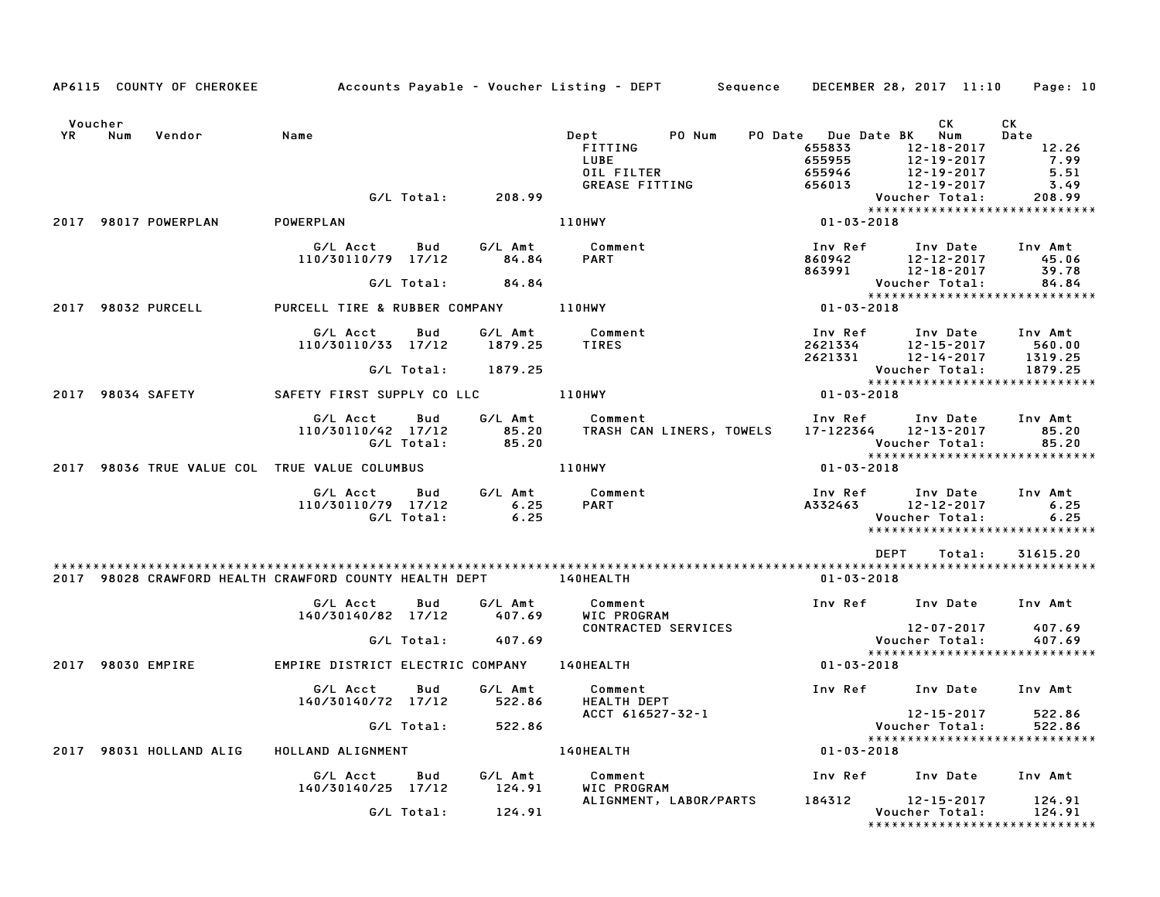|               |     | AP6115 COUNTY OF CHEROKEE | Accounts Payable – Voucher Listing – DEPT      Sequence    DECEMBER 28, 2017 11:10    Page: 10 |                   |                           |                                                                      |                                                              |                                      |                                                                                                                 |                                                       |
|---------------|-----|---------------------------|------------------------------------------------------------------------------------------------|-------------------|---------------------------|----------------------------------------------------------------------|--------------------------------------------------------------|--------------------------------------|-----------------------------------------------------------------------------------------------------------------|-------------------------------------------------------|
| Voucher<br>YR | Num | Vendor                    | Name                                                                                           | G/L Total:        | 208.99                    | Dept<br>FITTING<br>LUBE<br>OIL FILTER                                | PO Num<br>GREASE FITTING                                     | 655833<br>655955<br>655946<br>656013 | CK L<br>PO Date Due Date BK Num<br>12-18-2017<br>$12 - 19 - 2017$<br>12-19-2017<br>12-19-2017<br>Voucher Total: | CK<br>Date<br>12.26<br>7.99<br>5.51<br>3.49<br>208.99 |
|               |     | 2017 98017 POWERPLAN      | POWERPLAN                                                                                      |                   |                           | 110HWY                                                               |                                                              | $01 - 03 - 2018$                     | *****************************                                                                                   |                                                       |
|               |     |                           | G/L Acct Bud<br>110/30110/79 17/12                                                             | G/L Total:        | 84.84<br>84.84            | G/L Amt Comment<br><b>PART</b>                                       |                                                              | Inv Ref                              | Inv Date Inv Amt<br>860942 12-12-2017<br>863991 12-18-2017<br>12-12-2017                                        | 45.06<br>39.78                                        |
|               |     | 2017 98032 PURCELL        | PURCELL TIRE & RUBBER COMPANY 110HWY                                                           |                   |                           |                                                                      |                                                              | $01 - 03 - 2018$                     | Voucher Total: 84.84<br>****************************                                                            |                                                       |
|               |     |                           | G/L Acct<br>110/30110/33 17/12                                                                 | Bud<br>G/L Total: | 1879.25<br>1879.25        | G/L Amt Comment<br><b>TIRES</b>                                      |                                                              | Inv Ref                              | Inv Date Inv Amt<br>2621334 12-15-2017<br>2621331 12-14-2017<br>Voucher Total:                                  | 560.00<br>1319.25<br>1879.25                          |
|               |     |                           | 2017 98034 SAFETY             SAFETY FIRST SUPPLY CO LLC             110HWY                    |                   |                           |                                                                      |                                                              | $01 - 03 - 2018$                     | *****************************                                                                                   |                                                       |
|               |     |                           | G/L Acct<br>110/30110/42 17/12                                                                 | Bud<br>G/L Total: | G/L Amt<br>85.20<br>85.20 | Comment                                                              | TRASH CAN LINERS, TOWELS                                     | Inv Ref                              | Inv Date<br>17-122364 12-13-2017<br>Voucher Total: 85.20<br>****************************                        | Inv Amt<br>85.20                                      |
|               |     |                           | 2017 98036 TRUE VALUE COL TRUE VALUE COLUMBUS                                                  |                   |                           | <b>110HWY</b>                                                        |                                                              | $01 - 03 - 2018$                     |                                                                                                                 |                                                       |
|               |     |                           | G/L Acct<br>110/30110/79 17/12                                                                 | Bud<br>G/L Total: | 6.25<br>6.25              | G/L Amt Comment<br><b>PART</b>                                       |                                                              |                                      | Inv Ref Inv Date<br>A332463 12-12-2017<br>Voucher Total:                                                        | Inv Amt<br>6.25<br>6.25                               |
|               |     |                           | 2017 98028 CRAWFORD HEALTH CRAWFORD COUNTY HEALTH DEPT 140HEALTH                               |                   |                           |                                                                      |                                                              | 01-03-2018                           | DEPT<br>Total:                                                                                                  | 31615.20                                              |
|               |     |                           | G/L Acct<br>140/30140/82 17/12 407.69                                                          | <b>Bud</b>        | G/L Amt                   |                                                                      | Comment<br>WIC PROGRAM<br>WIC PRUGKAM<br>CONTRACTED SERVICES |                                      | Inv Ref Inv Date Inv Amt<br>12-07-2017                                                                          | 407.69                                                |
|               |     |                           |                                                                                                |                   | G/L Total: 407.69         |                                                                      |                                                              |                                      | Voucher Total:<br>*****************************                                                                 | 407.69                                                |
|               |     | 2017 98030 EMPIRE         | EMPIRE DISTRICT ELECTRIC COMPANY 140HEALTH                                                     |                   |                           |                                                                      |                                                              | $01 - 03 - 2018$                     |                                                                                                                 |                                                       |
|               |     |                           | G/L Acct Bud G/L Amt                                                                           |                   |                           | Comment<br>140/30140/72 17/12 522.86 HEALTH DEPT<br>ACCT 616527-32-1 |                                                              |                                      | Inv Ref Inv Date Inv Amt<br>12-15-2017                                                                          | 522.86                                                |
|               |     |                           |                                                                                                |                   | G/L Total: 522.86         |                                                                      |                                                              |                                      | 12-15-2017<br>: Voucher Total<br>***************<br>*****************************                               | 522.86                                                |
|               |     | 2017 98031 HOLLAND ALIG   | HOLLAND ALIGNMENT                                                                              |                   |                           | 140HEALTH                                                            |                                                              | $01 - 03 - 2018$                     |                                                                                                                 |                                                       |
|               |     |                           | G/L Acct<br>140/30140/25 17/12                                                                 |                   | Bud G/L Amt<br>124.91     | WIC PROGRAM                                                          | <b>Comment</b> Comment                                       |                                      | Inv Ref Inv Date Inv Amt                                                                                        |                                                       |
|               |     |                           |                                                                                                | G/L Total:        | 124.91                    |                                                                      | ALIGNMENT, LABOR/PARTS                                       |                                      | 184312 12-15-2017<br>Voucher Total:<br>*****************************                                            | 124.91<br>124.91                                      |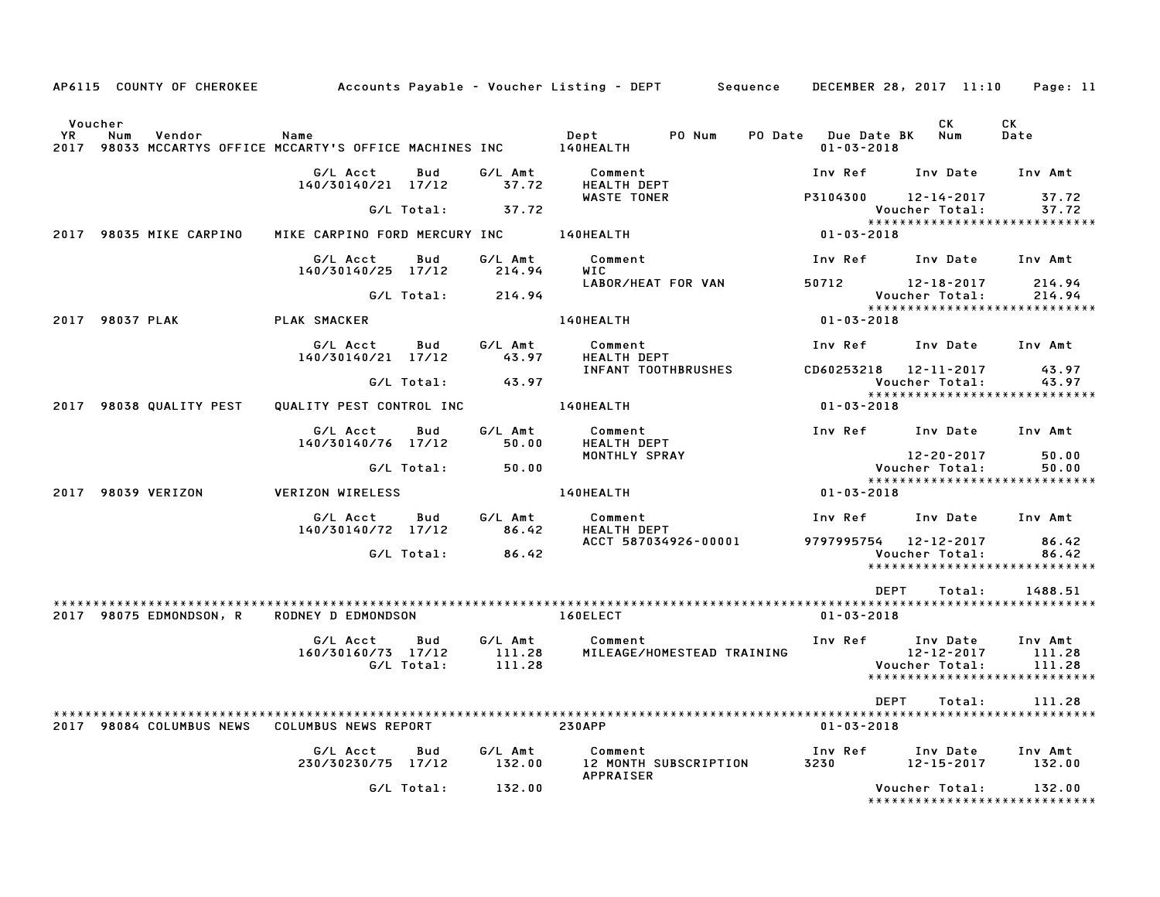|                      | AP6115 COUNTY OF CHEROKEE |                                                                  |            |                   | Accounts Payable – Voucher Listing – DEPT        Sequence | DECEMBER 28, 2017 11:10                 |                              | Page: 11                                  |
|----------------------|---------------------------|------------------------------------------------------------------|------------|-------------------|-----------------------------------------------------------|-----------------------------------------|------------------------------|-------------------------------------------|
|                      |                           |                                                                  |            |                   |                                                           |                                         |                              |                                           |
| Voucher<br><b>YR</b> | Num<br>Vendor             | Name<br>2017 98033 MCCARTYS OFFICE MCCARTY'S OFFICE MACHINES INC |            |                   | Dept<br>PO Num<br>140HEALTH                               | PO Date Due Date BK<br>$01 - 03 - 2018$ | <b>CK</b><br>Num             | CK<br>Date                                |
|                      |                           | G/L Acct<br>140/30140/21 17/12                                   | Bud        | G/L Amt<br>37.72  | Comment<br><b>HEALTH DEPT</b>                             | Inv Ref                                 | Inv Date                     | Inv Amt                                   |
|                      |                           |                                                                  | G/L Total: | 37.72             | <b>WASTE TONER</b>                                        | P3104300                                | 12-14-2017<br>Voucher Total: | 37.72<br>37.72                            |
|                      | 2017 98035 MIKE CARPINO   | MIKE CARPINO FORD MERCURY INC                                    |            |                   | 140HEALTH                                                 | 01-03-2018                              |                              | ******************************            |
|                      |                           | G/L Acct<br>140/30140/25 17/12                                   | Bud        | G/L Amt<br>214.94 | Comment<br>WIC                                            | Inv Ref                                 | Inv Date                     | Inv Amt                                   |
|                      |                           |                                                                  | G/L Total: | 214.94            | LABOR/HEAT FOR VAN                                        | 50712                                   | 12-18-2017<br>Voucher Total: | 214.94<br>214.94                          |
|                      | 2017 98037 PLAK           | PLAK SMACKER                                                     |            |                   | 140HEALTH                                                 | 01-03-2018                              |                              | ******************************            |
|                      |                           | G/L Acct<br>140/30140/21 17/12                                   | Bud        | G/L Amt<br>43.97  | Comment<br><b>HEALTH DEPT</b>                             | Inv Ref                                 | Inv Date                     | Inv Amt                                   |
|                      |                           |                                                                  | G/L Total: | 43.97             | INFANT TOOTHBRUSHES                                       | CD60253218 12-11-2017                   | Voucher Total:               | 43.97<br>43.97                            |
|                      | 2017 98038 QUALITY PEST   | QUALITY PEST CONTROL INC                                         |            |                   | 140HEALTH                                                 | 01-03-2018                              |                              | *****************************             |
|                      |                           |                                                                  |            |                   |                                                           |                                         |                              |                                           |
|                      |                           | G/L Acct<br>140/30140/76 17/12                                   | Bud        | G/L Amt<br>50.00  | Comment<br><b>HEALTH DEPT</b>                             | Inv Ref Inv Date                        |                              | Inv Amt                                   |
|                      |                           |                                                                  | G/L Total: | 50.00             | MONTHLY SPRAY                                             |                                         | 12-20-2017<br>Voucher Total: | 50.00<br>50.00                            |
|                      |                           |                                                                  |            |                   |                                                           |                                         |                              | *****************************             |
|                      | 2017 98039 VERIZON        | <b>VERIZON WIRELESS</b>                                          |            |                   | 140HEALTH                                                 | 01-03-2018                              |                              |                                           |
|                      |                           | G/L Acct<br>140/30140/72 17/12                                   | Bud        | G/L Amt<br>86.42  | Comment<br>HEALTH DEPT                                    | Inv Ref                                 | Inv Date                     | Inv Amt                                   |
|                      |                           |                                                                  | G/L Total: | 86.42             | ACCT 587034926-00001                                      | 9797995754 12-12-2017                   | Voucher Total:               | 86.42<br>86.42                            |
|                      |                           |                                                                  |            |                   |                                                           |                                         |                              | *****************************             |
|                      |                           |                                                                  |            |                   |                                                           | <b>DEPT</b>                             | Total:                       | 1488.51                                   |
|                      | 2017 98075 EDMONDSON, R   | RODNEY D EDMONDSON                                               |            |                   | 160ELECT                                                  | $01 - 03 - 2018$                        |                              |                                           |
|                      |                           | G/L Acct                                                         | Bud        | G/L Amt           | Comment                                                   | Inv Ref Inv Date                        |                              | Inv Amt                                   |
|                      |                           | 160/30160/73 17/12                                               |            | 111.28            | MILEAGE/HOMESTEAD TRAINING                                |                                         | $12 - 12 - 2017$             | 111.28                                    |
|                      |                           |                                                                  | G/L Total: | 111.28            |                                                           |                                         | Voucher Total:               | 111.28<br>*****************************   |
|                      |                           |                                                                  |            |                   |                                                           |                                         |                              |                                           |
|                      |                           |                                                                  |            |                   |                                                           | <b>DEPT</b>                             | Total:                       | 111.28                                    |
|                      | 2017 98084 COLUMBUS NEWS  | COLUMBUS NEWS REPORT                                             |            |                   | <b>230APP</b>                                             | $01 - 03 - 2018$                        |                              |                                           |
|                      |                           | G/L Acct<br>230/30230/75 17/12                                   | Bud        | G/L Amt<br>132.00 | Comment<br>12 MONTH SUBSCRIPTION                          | Inv Ref<br>3230                         | Inv Date<br>12-15-2017       | Inv Amt<br>132.00                         |
|                      |                           |                                                                  | G/L Total: | 132.00            | <b>APPRAISER</b>                                          |                                         | Voucher Total:               | 132.00<br>******************************* |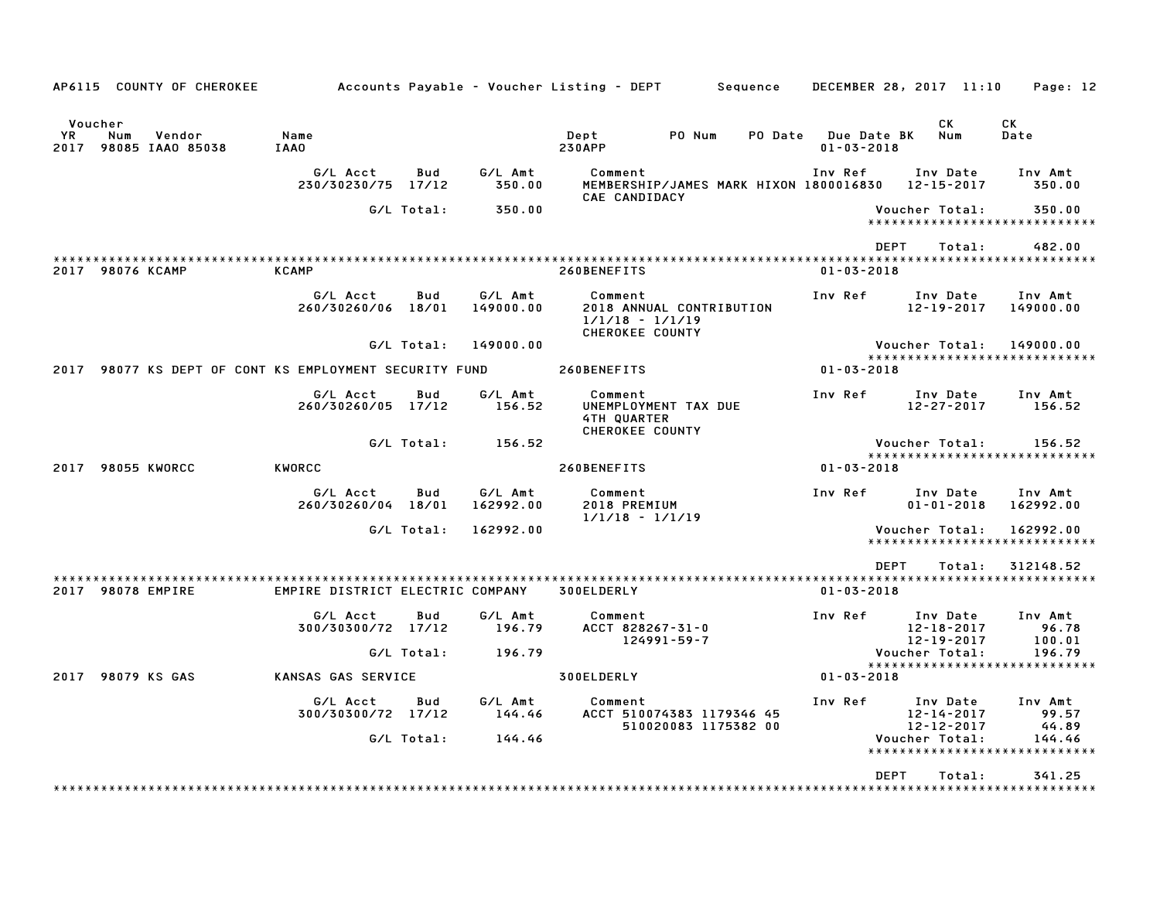| AP6115 COUNTY OF CHEROKEE                                         |                                  |              |                      | Accounts Payable – Voucher Listing – DEPT<br>Sequence                       | DECEMBER 28, 2017 11:10         |                                                  | Page: 12                                   |
|-------------------------------------------------------------------|----------------------------------|--------------|----------------------|-----------------------------------------------------------------------------|---------------------------------|--------------------------------------------------|--------------------------------------------|
| Voucher<br><b>YR</b><br>Num<br>Vendor<br>98085 IAA0 85038<br>2017 | Name<br><b>IAA0</b>              |              |                      | PO Num<br>PO Date<br>Dept<br><b>230APP</b>                                  | Due Date BK<br>$01 - 03 - 2018$ | СK<br>Num                                        | СK<br>Date                                 |
|                                                                   | G/L Acct<br>230/30230/75         | Bud<br>17/12 | G/L Amt<br>350.00    | Comment<br>MEMBERSHIP/JAMES MARK HIXON 1800016830                           | Inv Ref                         | Inv Date<br>12-15-2017                           | Inv Amt<br>350.00                          |
|                                                                   |                                  | G/L Total:   | 350.00               | CAE CANDIDACY                                                               |                                 | <b>Voucher Total:</b>                            | 350.00<br>*****************************    |
| 2017 98076 KCAMP                                                  | <b>KCAMP</b>                     |              |                      | 260BENEFITS                                                                 | <b>DEPT</b><br>$01 - 03 - 2018$ | Total:                                           | 482.00                                     |
|                                                                   | G/L Acct<br>260/30260/06 18/01   | Bud          | G/L Amt<br>149000.00 | Comment<br>2018 ANNUAL CONTRIBUTION<br>$1/1/18 - 1/1/19$<br>CHEROKEE COUNTY | Inv Ref                         | Inv Date<br>$12 - 19 - 2017$                     | Inv Amt<br>149000.00                       |
|                                                                   |                                  | G/L Total:   | 149000.00            |                                                                             |                                 | Voucher Total:                                   | 149000.00                                  |
| 98077 KS DEPT OF CONT KS EMPLOYMENT SECURITY FUND<br>2017         |                                  |              |                      | 260BENEFITS                                                                 | $01 - 03 - 2018$                |                                                  | *****************************              |
|                                                                   | G/L Acct<br>260/30260/05 17/12   | Bud          | G/L Amt<br>156.52    | Comment<br>UNEMPLOYMENT TAX DUE<br>4TH QUARTER<br><b>CHEROKEE COUNTY</b>    | Inv Ref                         | Inv Date<br>$12 - 27 - 2017$                     | Inv Amt<br>156.52                          |
|                                                                   |                                  | G/L Total:   | 156.52               |                                                                             |                                 | Voucher Total:                                   | 156.52<br>*****************************    |
| 2017<br><b>98055 KWORCC</b>                                       | <b>KWORCC</b>                    |              |                      | 260BENEFITS                                                                 | $01 - 03 - 2018$                |                                                  |                                            |
|                                                                   | G/L Acct<br>260/30260/04 18/01   | Bud          | G/L Amt<br>162992.00 | Comment<br>2018 PREMIUM<br>$1/1/18 - 1/1/19$                                | Inv Ref                         | Inv Date<br>$01 - 01 - 2018$                     | Inv Amt<br>162992.00                       |
|                                                                   |                                  | G/L Total:   | 162992.00            |                                                                             |                                 | Voucher Total:                                   | 162992.00<br>***************************** |
|                                                                   |                                  |              |                      |                                                                             | <b>DEPT</b>                     | Total:                                           | 312148.52                                  |
| 2017 98078 EMPIRE                                                 | EMPIRE DISTRICT ELECTRIC COMPANY |              |                      | 300ELDERLY                                                                  | $01 - 03 - 2018$                |                                                  |                                            |
|                                                                   | G/L Acct<br>300/30300/72 17/12   | Bud          | G/L Amt<br>196.79    | Comment<br>ACCT 828267-31-0<br>124991-59-7                                  | Inv Ref                         | Inv Date<br>$12 - 18 - 2017$<br>12-19-2017       | Inv Amt<br>96.78<br>100.01                 |
|                                                                   |                                  | G/L Total:   | 196.79               |                                                                             |                                 | Voucher Total:                                   | 196.79<br>*****************************    |
| 2017 98079 KS GAS                                                 | KANSAS GAS SERVICE               |              |                      | 300ELDERLY                                                                  | $01 - 03 - 2018$                |                                                  |                                            |
|                                                                   | G/L Acct<br>300/30300/72 17/12   | Bud          | G/L Amt<br>144.46    | Comment<br>ACCT 510074383 1179346 45<br>510020083 1175382 00                | Inv Ref                         | Inv Date<br>$12 - 14 - 2017$<br>$12 - 12 - 2017$ | Inv Amt<br>99.57<br>44.89                  |
|                                                                   |                                  | G/L Total:   | 144.46               |                                                                             |                                 | Voucher Total:                                   | 144.46<br>*****************************    |
|                                                                   |                                  |              |                      |                                                                             | <b>DEPT</b>                     | Total:                                           | 341.25                                     |
|                                                                   |                                  |              |                      |                                                                             |                                 |                                                  |                                            |